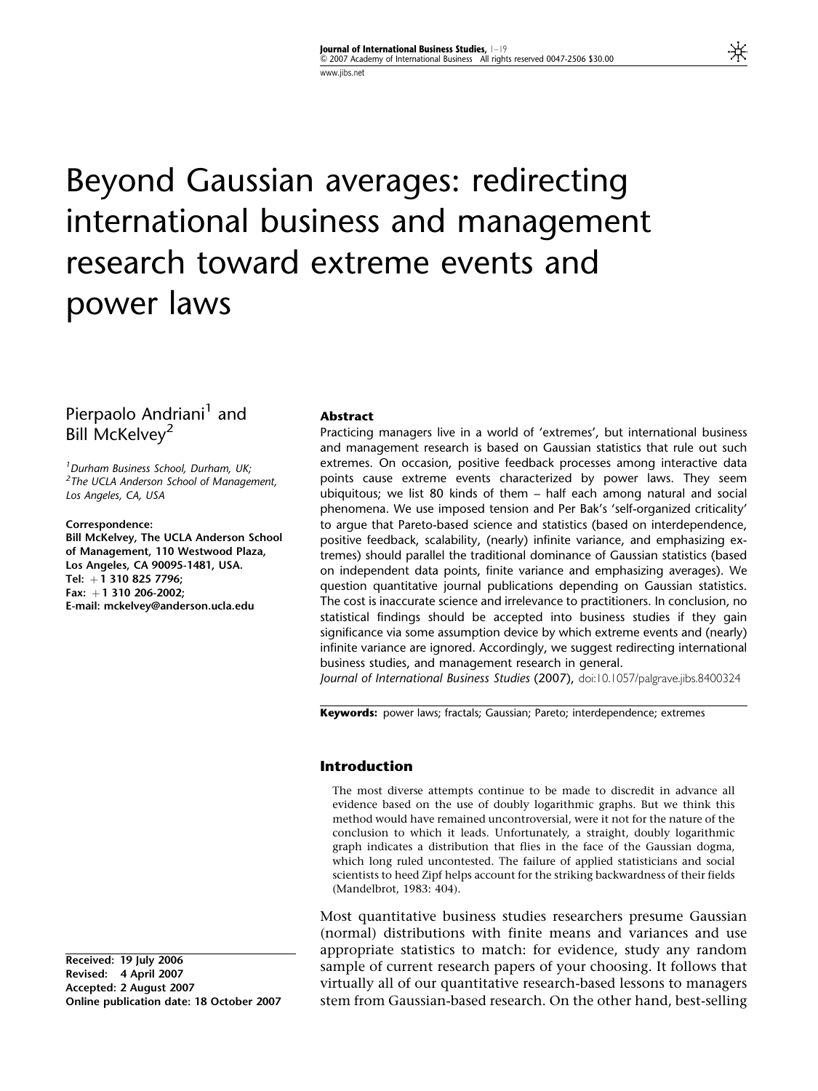# Beyond Gaussian averages: redirecting international business and management research toward extreme events and power laws

## Pierpaolo Andriani<sup>1</sup> and Bill McKelvev<sup>2</sup>

1 Durham Business School, Durham, UK; <sup>2</sup>The UCLA Anderson School of Management, Los Angeles, CA, USA

Correspondence: Bill McKelvey, The UCLA Anderson School of Management, 110 Westwood Plaza, Los Angeles, CA 90095-1481, USA. Tel:  $+1$  310 825 7796; Fax:  $+1$  310 206-2002; E-mail: mckelvey@anderson.ucla.edu

Abstract

Practicing managers live in a world of 'extremes', but international business and management research is based on Gaussian statistics that rule out such extremes. On occasion, positive feedback processes among interactive data points cause extreme events characterized by power laws. They seem ubiquitous; we list 80 kinds of them – half each among natural and social phenomena. We use imposed tension and Per Bak's 'self-organized criticality' to argue that Pareto-based science and statistics (based on interdependence, positive feedback, scalability, (nearly) infinite variance, and emphasizing extremes) should parallel the traditional dominance of Gaussian statistics (based on independent data points, finite variance and emphasizing averages). We question quantitative journal publications depending on Gaussian statistics. The cost is inaccurate science and irrelevance to practitioners. In conclusion, no statistical findings should be accepted into business studies if they gain significance via some assumption device by which extreme events and (nearly) infinite variance are ignored. Accordingly, we suggest redirecting international business studies, and management research in general.

Journal of International Business Studies (2007), doi:10.1057/palgrave.jibs.8400324

Keywords: power laws; fractals; Gaussian; Pareto; interdependence; extremes

#### Introduction

The most diverse attempts continue to be made to discredit in advance all evidence based on the use of doubly logarithmic graphs. But we think this method would have remained uncontroversial, were it not for the nature of the conclusion to which it leads. Unfortunately, a straight, doubly logarithmic graph indicates a distribution that flies in the face of the Gaussian dogma, which long ruled uncontested. The failure of applied statisticians and social scientists to heed Zipf helps account for the striking backwardness of their fields (Mandelbrot, 1983: 404).

Most quantitative business studies researchers presume Gaussian (normal) distributions with finite means and variances and use appropriate statistics to match: for evidence, study any random sample of current research papers of your choosing. It follows that virtually all of our quantitative research-based lessons to managers stem from Gaussian-based research. On the other hand, best-selling

Received: 19 July 2006 Revised: 4 April 2007 Accepted: 2 August 2007 Online publication date: 18 October 2007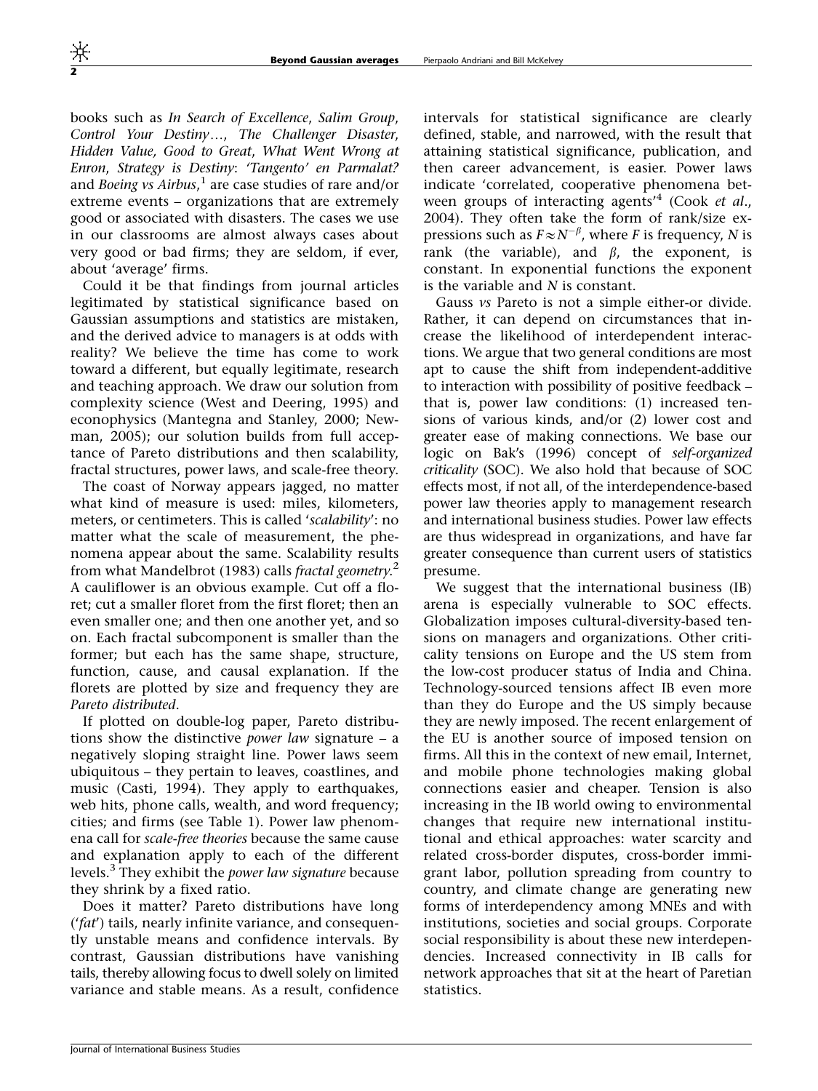books such as In Search of Excellence, Salim Group, Control Your Destiny..., The Challenger Disaster, Hidden Value, Good to Great, What Went Wrong at Enron, Strategy is Destiny: 'Tangento' en Parmalat? and Boeing vs Airbus,<sup>1</sup> are case studies of rare and/or extreme events – organizations that are extremely good or associated with disasters. The cases we use in our classrooms are almost always cases about very good or bad firms; they are seldom, if ever, about 'average' firms.

Could it be that findings from journal articles legitimated by statistical significance based on Gaussian assumptions and statistics are mistaken, and the derived advice to managers is at odds with reality? We believe the time has come to work toward a different, but equally legitimate, research and teaching approach. We draw our solution from complexity science (West and Deering, 1995) and econophysics (Mantegna and Stanley, 2000; Newman, 2005); our solution builds from full acceptance of Pareto distributions and then scalability, fractal structures, power laws, and scale-free theory.

The coast of Norway appears jagged, no matter what kind of measure is used: miles, kilometers, meters, or centimeters. This is called 'scalability': no matter what the scale of measurement, the phenomena appear about the same. Scalability results from what Mandelbrot (1983) calls *fractal geometry*.<sup>2</sup> A cauliflower is an obvious example. Cut off a floret; cut a smaller floret from the first floret; then an even smaller one; and then one another yet, and so on. Each fractal subcomponent is smaller than the former; but each has the same shape, structure, function, cause, and causal explanation. If the florets are plotted by size and frequency they are Pareto distributed.

If plotted on double-log paper, Pareto distributions show the distinctive power law signature – a negatively sloping straight line. Power laws seem ubiquitous – they pertain to leaves, coastlines, and music (Casti, 1994). They apply to earthquakes, web hits, phone calls, wealth, and word frequency; cities; and firms (see Table 1). Power law phenomena call for scale-free theories because the same cause and explanation apply to each of the different levels.<sup>3</sup> They exhibit the *power law signature* because they shrink by a fixed ratio.

Does it matter? Pareto distributions have long ('fat') tails, nearly infinite variance, and consequently unstable means and confidence intervals. By contrast, Gaussian distributions have vanishing tails, thereby allowing focus to dwell solely on limited variance and stable means. As a result, confidence intervals for statistical significance are clearly defined, stable, and narrowed, with the result that attaining statistical significance, publication, and then career advancement, is easier. Power laws indicate 'correlated, cooperative phenomena between groups of interacting agents<sup> $4$ </sup> (Cook et al., 2004). They often take the form of rank/size expressions such as  $F \approx N^{-\beta}$ , where F is frequency, N is rank (the variable), and  $\beta$ , the exponent, is constant. In exponential functions the exponent is the variable and N is constant.

Gauss vs Pareto is not a simple either-or divide. Rather, it can depend on circumstances that increase the likelihood of interdependent interactions. We argue that two general conditions are most apt to cause the shift from independent-additive to interaction with possibility of positive feedback – that is, power law conditions: (1) increased tensions of various kinds, and/or (2) lower cost and greater ease of making connections. We base our logic on Bak's (1996) concept of self-organized criticality (SOC). We also hold that because of SOC effects most, if not all, of the interdependence-based power law theories apply to management research and international business studies. Power law effects are thus widespread in organizations, and have far greater consequence than current users of statistics presume.

We suggest that the international business (IB) arena is especially vulnerable to SOC effects. Globalization imposes cultural-diversity-based tensions on managers and organizations. Other criticality tensions on Europe and the US stem from the low-cost producer status of India and China. Technology-sourced tensions affect IB even more than they do Europe and the US simply because they are newly imposed. The recent enlargement of the EU is another source of imposed tension on firms. All this in the context of new email, Internet, and mobile phone technologies making global connections easier and cheaper. Tension is also increasing in the IB world owing to environmental changes that require new international institutional and ethical approaches: water scarcity and related cross-border disputes, cross-border immigrant labor, pollution spreading from country to country, and climate change are generating new forms of interdependency among MNEs and with institutions, societies and social groups. Corporate social responsibility is about these new interdependencies. Increased connectivity in IB calls for network approaches that sit at the heart of Paretian statistics.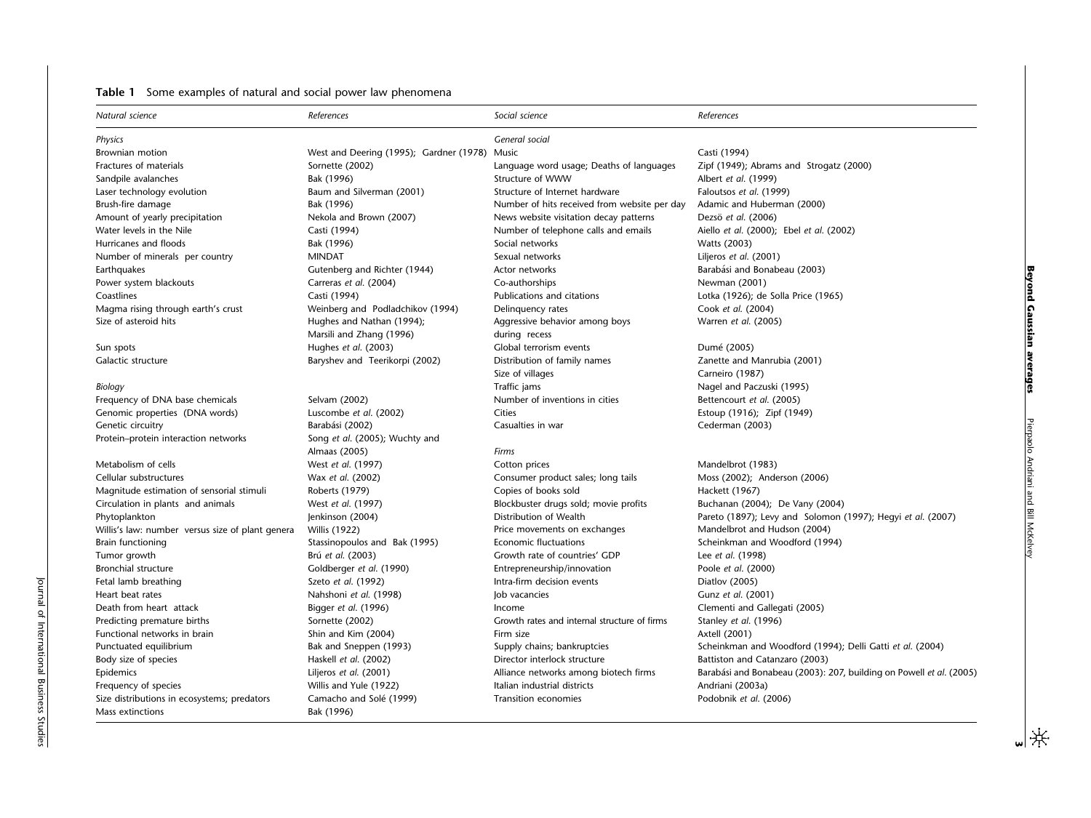#### **Table 1** Some examples of natural and social power law phenomena

| Natural science                                  | References                                    | Social science                               | References                                                          |
|--------------------------------------------------|-----------------------------------------------|----------------------------------------------|---------------------------------------------------------------------|
| Physics                                          |                                               | General social                               |                                                                     |
| Brownian motion                                  | West and Deering (1995); Gardner (1978) Music |                                              | Casti (1994)                                                        |
| Fractures of materials                           | Sornette (2002)                               | Language word usage; Deaths of languages     | Zipf (1949); Abrams and Strogatz (2000)                             |
| Sandpile avalanches                              | Bak (1996)                                    | Structure of WWW                             | Albert et al. (1999)                                                |
| Laser technology evolution                       | Baum and Silverman (2001)                     | Structure of Internet hardware               | Faloutsos et al. (1999)                                             |
| Brush-fire damage                                | Bak (1996)                                    | Number of hits received from website per day | Adamic and Huberman (2000)                                          |
| Amount of yearly precipitation                   | Nekola and Brown (2007)                       | News website visitation decay patterns       | Dezsö et al. (2006)                                                 |
| Water levels in the Nile                         | Casti (1994)                                  | Number of telephone calls and emails         | Aiello et al. (2000); Ebel et al. (2002)                            |
| Hurricanes and floods                            | Bak (1996)                                    | Social networks                              | Watts (2003)                                                        |
| Number of minerals per country                   | <b>MINDAT</b>                                 | Sexual networks                              | Liljeros et al. (2001)                                              |
| Earthquakes                                      | Gutenberg and Richter (1944)                  | Actor networks                               | Barabási and Bonabeau (2003)                                        |
| Power system blackouts                           | Carreras et al. (2004)                        | Co-authorships                               | Newman (2001)                                                       |
| Coastlines                                       | Casti (1994)                                  | Publications and citations                   | Lotka (1926); de Solla Price (1965)                                 |
| Magma rising through earth's crust               | Weinberg and Podladchikov (1994)              | Delinguency rates                            | Cook et al. (2004)                                                  |
| Size of asteroid hits                            | Hughes and Nathan (1994);                     | Aggressive behavior among boys               | Warren et al. (2005)                                                |
|                                                  | Marsili and Zhang (1996)                      | during recess                                |                                                                     |
| Sun spots                                        | Hughes et al. (2003)                          | Global terrorism events                      | Dumé (2005)                                                         |
| Galactic structure                               | Baryshev and Teerikorpi (2002)                | Distribution of family names                 | Zanette and Manrubia (2001)                                         |
|                                                  |                                               | Size of villages                             | Carneiro (1987)                                                     |
| Biology                                          |                                               | Traffic jams                                 | Nagel and Paczuski (1995)                                           |
| Frequency of DNA base chemicals                  | Selvam (2002)                                 | Number of inventions in cities               | Bettencourt et al. (2005)                                           |
| Genomic properties (DNA words)                   | Luscombe et al. (2002)                        | Cities                                       | Estoup (1916); Zipf (1949)                                          |
| Genetic circuitry                                | Barabási (2002)                               | Casualties in war                            | Cederman (2003)                                                     |
| Protein-protein interaction networks             | Song et al. (2005); Wuchty and                |                                              |                                                                     |
|                                                  | Almaas (2005)                                 | Firms                                        |                                                                     |
| Metabolism of cells                              | West et al. (1997)                            | Cotton prices                                | Mandelbrot (1983)                                                   |
| Cellular substructures                           | Wax et al. (2002)                             | Consumer product sales; long tails           | Moss (2002); Anderson (2006)                                        |
| Magnitude estimation of sensorial stimuli        | Roberts (1979)                                | Copies of books sold                         | Hackett (1967)                                                      |
| Circulation in plants and animals                | West et al. (1997)                            | Blockbuster drugs sold; movie profits        | Buchanan (2004); De Vany (2004)                                     |
| Phytoplankton                                    | Jenkinson (2004)                              | Distribution of Wealth                       | Pareto (1897); Levy and Solomon (1997); Heqyi et al. (2007)         |
| Willis's law: number versus size of plant genera | <b>Willis (1922)</b>                          | Price movements on exchanges                 | Mandelbrot and Hudson (2004)                                        |
| Brain functioning                                | Stassinopoulos and Bak (1995)                 | Economic fluctuations                        | Scheinkman and Woodford (1994)                                      |
| Tumor growth                                     | Brú et al. (2003)                             | Growth rate of countries' GDP                | Lee et al. (1998)                                                   |
| Bronchial structure                              | Goldberger et al. (1990)                      | Entrepreneurship/innovation                  | Poole et al. (2000)                                                 |
| Fetal lamb breathing                             | Szeto et al. (1992)                           | Intra-firm decision events                   | Diatlov (2005)                                                      |
| Heart beat rates                                 | Nahshoni et al. (1998)                        | Job vacancies                                | Gunz et al. (2001)                                                  |
| Death from heart attack                          | Bigger et al. (1996)                          | Income                                       | Clementi and Gallegati (2005)                                       |
| Predicting premature births                      | Sornette (2002)                               | Growth rates and internal structure of firms | Stanley et al. (1996)                                               |
| Functional networks in brain                     | Shin and Kim (2004)                           | Firm size                                    | Axtell (2001)                                                       |
| Punctuated equilibrium                           | Bak and Sneppen (1993)                        | Supply chains; bankruptcies                  | Scheinkman and Woodford (1994); Delli Gatti et al. (2004)           |
| Body size of species                             | Haskell et al. (2002)                         | Director interlock structure                 | Battiston and Catanzaro (2003)                                      |
| Epidemics                                        | Liljeros et al. (2001)                        | Alliance networks among biotech firms        | Barabási and Bonabeau (2003): 207, building on Powell et al. (2005) |
| Frequency of species                             | Willis and Yule (1922)                        | Italian industrial districts                 | Andriani (2003a)                                                    |
| Size distributions in ecosystems; predators      | Camacho and Solé (1999)                       | Transition economies                         | Podobnik et al. (2006)                                              |
|                                                  |                                               |                                              |                                                                     |

س

|米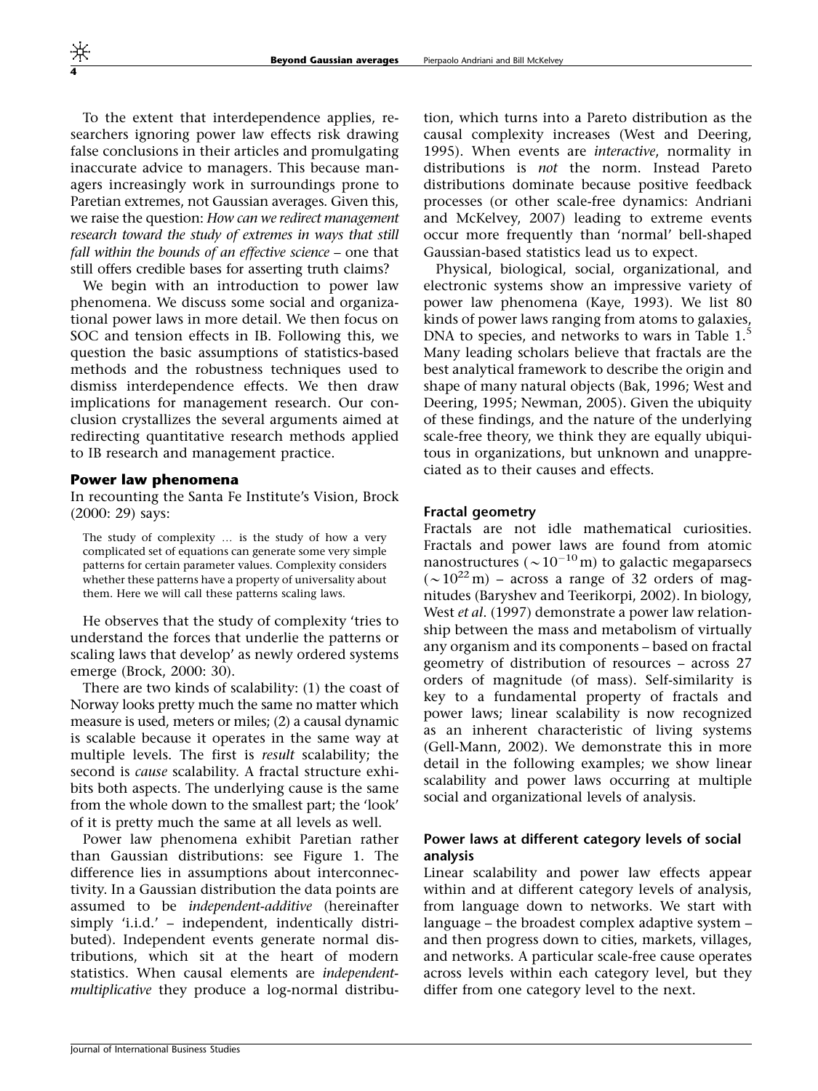To the extent that interdependence applies, researchers ignoring power law effects risk drawing false conclusions in their articles and promulgating inaccurate advice to managers. This because managers increasingly work in surroundings prone to Paretian extremes, not Gaussian averages. Given this, we raise the question: How can we redirect management research toward the study of extremes in ways that still fall within the bounds of an effective science – one that still offers credible bases for asserting truth claims?

We begin with an introduction to power law phenomena. We discuss some social and organizational power laws in more detail. We then focus on SOC and tension effects in IB. Following this, we question the basic assumptions of statistics-based methods and the robustness techniques used to dismiss interdependence effects. We then draw implications for management research. Our conclusion crystallizes the several arguments aimed at redirecting quantitative research methods applied to IB research and management practice.

## Power law phenomena

In recounting the Santa Fe Institute's Vision, Brock (2000: 29) says:

The study of complexity  $\ldots$  is the study of how a very complicated set of equations can generate some very simple patterns for certain parameter values. Complexity considers whether these patterns have a property of universality about them. Here we will call these patterns scaling laws.

He observes that the study of complexity 'tries to understand the forces that underlie the patterns or scaling laws that develop' as newly ordered systems emerge (Brock, 2000: 30).

There are two kinds of scalability: (1) the coast of Norway looks pretty much the same no matter which measure is used, meters or miles; (2) a causal dynamic is scalable because it operates in the same way at multiple levels. The first is result scalability; the second is cause scalability. A fractal structure exhibits both aspects. The underlying cause is the same from the whole down to the smallest part; the 'look' of it is pretty much the same at all levels as well.

Power law phenomena exhibit Paretian rather than Gaussian distributions: see Figure 1. The difference lies in assumptions about interconnectivity. In a Gaussian distribution the data points are assumed to be independent-additive (hereinafter simply 'i.i.d.' – independent, indentically distributed). Independent events generate normal distributions, which sit at the heart of modern statistics. When causal elements are independentmultiplicative they produce a log-normal distribution, which turns into a Pareto distribution as the causal complexity increases (West and Deering, 1995). When events are interactive, normality in distributions is not the norm. Instead Pareto distributions dominate because positive feedback processes (or other scale-free dynamics: Andriani and McKelvey, 2007) leading to extreme events occur more frequently than 'normal' bell-shaped Gaussian-based statistics lead us to expect.

Physical, biological, social, organizational, and electronic systems show an impressive variety of power law phenomena (Kaye, 1993). We list 80 kinds of power laws ranging from atoms to galaxies, DNA to species, and networks to wars in Table 1.<sup>5</sup> Many leading scholars believe that fractals are the best analytical framework to describe the origin and shape of many natural objects (Bak, 1996; West and Deering, 1995; Newman, 2005). Given the ubiquity of these findings, and the nature of the underlying scale-free theory, we think they are equally ubiquitous in organizations, but unknown and unappreciated as to their causes and effects.

#### Fractal geometry

Fractals are not idle mathematical curiosities. Fractals and power laws are found from atomic nanostructures ( $\sim$  10 $^{-10}$ m) to galactic megaparsecs  $({\sim}10^{22} \text{ m})$  – across a range of 32 orders of magnitudes (Baryshev and Teerikorpi, 2002). In biology, West et al. (1997) demonstrate a power law relationship between the mass and metabolism of virtually any organism and its components – based on fractal geometry of distribution of resources – across 27 orders of magnitude (of mass). Self-similarity is key to a fundamental property of fractals and power laws; linear scalability is now recognized as an inherent characteristic of living systems (Gell-Mann, 2002). We demonstrate this in more detail in the following examples; we show linear scalability and power laws occurring at multiple social and organizational levels of analysis.

## Power laws at different category levels of social analysis

Linear scalability and power law effects appear within and at different category levels of analysis, from language down to networks. We start with language – the broadest complex adaptive system – and then progress down to cities, markets, villages, and networks. A particular scale-free cause operates across levels within each category level, but they differ from one category level to the next.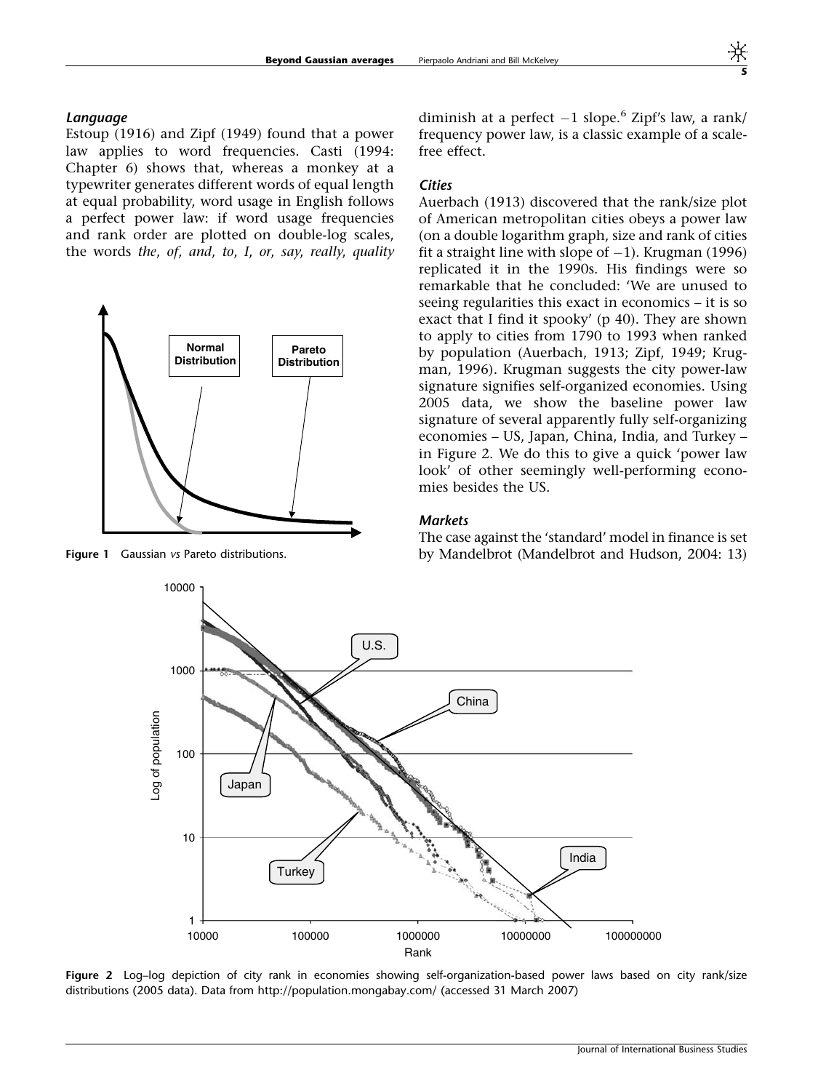#### Language

Estoup (1916) and Zipf (1949) found that a power law applies to word frequencies. Casti (1994: Chapter 6) shows that, whereas a monkey at a typewriter generates different words of equal length at equal probability, word usage in English follows a perfect power law: if word usage frequencies and rank order are plotted on double-log scales, the words the, of, and, to, I, or, say, really, quality



Figure 1 Gaussian vs Pareto distributions.

diminish at a perfect  $-1$  slope.<sup>6</sup> Zipf's law, a rank/ frequency power law, is a classic example of a scalefree effect.

## **Cities**

Auerbach (1913) discovered that the rank/size plot of American metropolitan cities obeys a power law (on a double logarithm graph, size and rank of cities fit a straight line with slope of  $-1$ ). Krugman (1996) replicated it in the 1990s. His findings were so remarkable that he concluded: 'We are unused to seeing regularities this exact in economics – it is so exact that I find it spooky' (p 40). They are shown to apply to cities from 1790 to 1993 when ranked by population (Auerbach, 1913; Zipf, 1949; Krugman, 1996). Krugman suggests the city power-law signature signifies self-organized economies. Using 2005 data, we show the baseline power law signature of several apparently fully self-organizing economies – US, Japan, China, India, and Turkey – in Figure 2. We do this to give a quick 'power law look' of other seemingly well-performing economies besides the US.

## **Markets**

The case against the 'standard' model in finance is set by Mandelbrot (Mandelbrot and Hudson, 2004: 13)



Figure 2 Log–log depiction of city rank in economies showing self-organization-based power laws based on city rank/size distributions (2005 data). Data from http://population.mongabay.com/ (accessed 31 March 2007)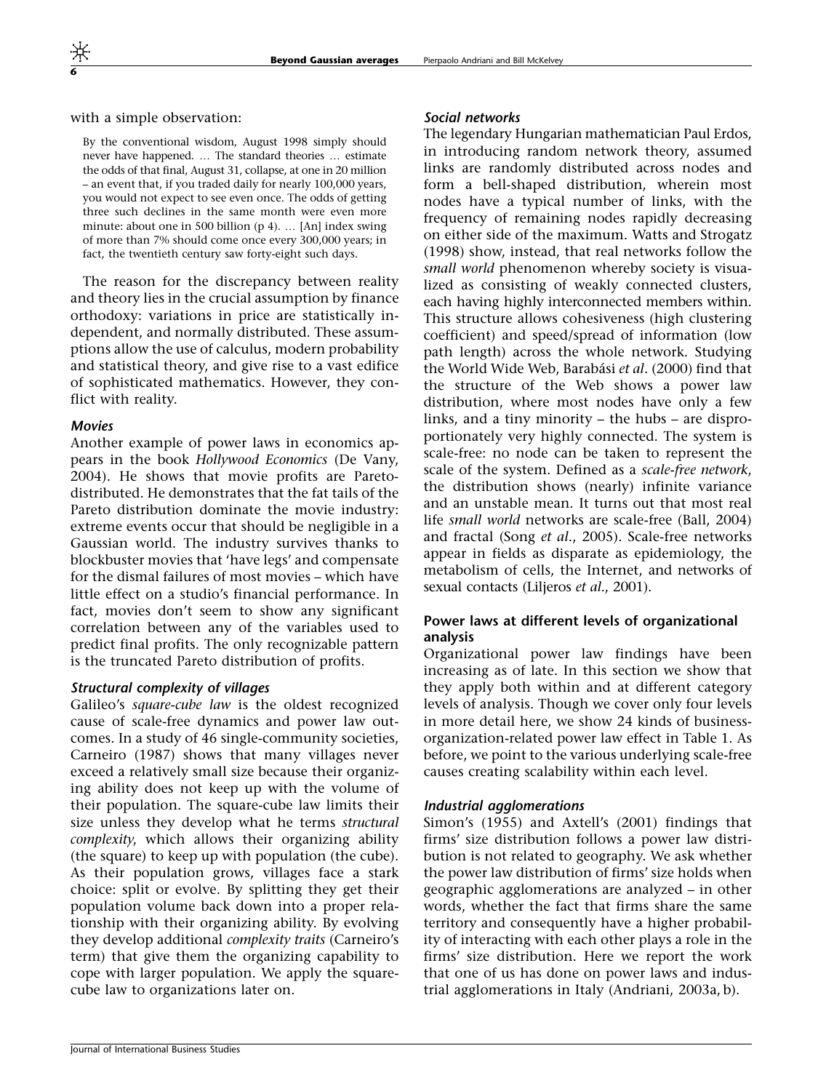#### with a simple observation:

By the conventional wisdom, August 1998 simply should never have happened. ... The standard theories ... estimate the odds of that final, August 31, collapse, at one in 20 million – an event that, if you traded daily for nearly 100,000 years, you would not expect to see even once. The odds of getting three such declines in the same month were even more minute: about one in 500 billion (p 4). ... [An] index swing of more than 7% should come once every 300,000 years; in fact, the twentieth century saw forty-eight such days.

The reason for the discrepancy between reality and theory lies in the crucial assumption by finance orthodoxy: variations in price are statistically independent, and normally distributed. These assumptions allow the use of calculus, modern probability and statistical theory, and give rise to a vast edifice of sophisticated mathematics. However, they conflict with reality.

#### Movies

Another example of power laws in economics appears in the book Hollywood Economics (De Vany, 2004). He shows that movie profits are Paretodistributed. He demonstrates that the fat tails of the Pareto distribution dominate the movie industry: extreme events occur that should be negligible in a Gaussian world. The industry survives thanks to blockbuster movies that 'have legs' and compensate for the dismal failures of most movies – which have little effect on a studio's financial performance. In fact, movies don't seem to show any significant correlation between any of the variables used to predict final profits. The only recognizable pattern is the truncated Pareto distribution of profits.

#### Structural complexity of villages

Galileo's square-cube law is the oldest recognized cause of scale-free dynamics and power law outcomes. In a study of 46 single-community societies, Carneiro (1987) shows that many villages never exceed a relatively small size because their organizing ability does not keep up with the volume of their population. The square-cube law limits their size unless they develop what he terms structural complexity, which allows their organizing ability (the square) to keep up with population (the cube). As their population grows, villages face a stark choice: split or evolve. By splitting they get their population volume back down into a proper relationship with their organizing ability. By evolving they develop additional *complexity traits* (Carneiro's term) that give them the organizing capability to cope with larger population. We apply the squarecube law to organizations later on.

#### Social networks

The legendary Hungarian mathematician Paul Erdos, in introducing random network theory, assumed links are randomly distributed across nodes and form a bell-shaped distribution, wherein most nodes have a typical number of links, with the frequency of remaining nodes rapidly decreasing on either side of the maximum. Watts and Strogatz (1998) show, instead, that real networks follow the small world phenomenon whereby society is visualized as consisting of weakly connected clusters, each having highly interconnected members within. This structure allows cohesiveness (high clustering coefficient) and speed/spread of information (low path length) across the whole network. Studying the World Wide Web, Barabási et al. (2000) find that the structure of the Web shows a power law distribution, where most nodes have only a few links, and a tiny minority – the hubs – are disproportionately very highly connected. The system is scale-free: no node can be taken to represent the scale of the system. Defined as a scale-free network, the distribution shows (nearly) infinite variance and an unstable mean. It turns out that most real life small world networks are scale-free (Ball, 2004) and fractal (Song et al., 2005). Scale-free networks appear in fields as disparate as epidemiology, the metabolism of cells, the Internet, and networks of sexual contacts (Liljeros et al., 2001).

## Power laws at different levels of organizational analysis

Organizational power law findings have been increasing as of late. In this section we show that they apply both within and at different category levels of analysis. Though we cover only four levels in more detail here, we show 24 kinds of businessorganization-related power law effect in Table 1. As before, we point to the various underlying scale-free causes creating scalability within each level.

### Industrial agglomerations

Simon's (1955) and Axtell's (2001) findings that firms' size distribution follows a power law distribution is not related to geography. We ask whether the power law distribution of firms' size holds when geographic agglomerations are analyzed – in other words, whether the fact that firms share the same territory and consequently have a higher probability of interacting with each other plays a role in the firms' size distribution. Here we report the work that one of us has done on power laws and industrial agglomerations in Italy (Andriani, 2003a, b).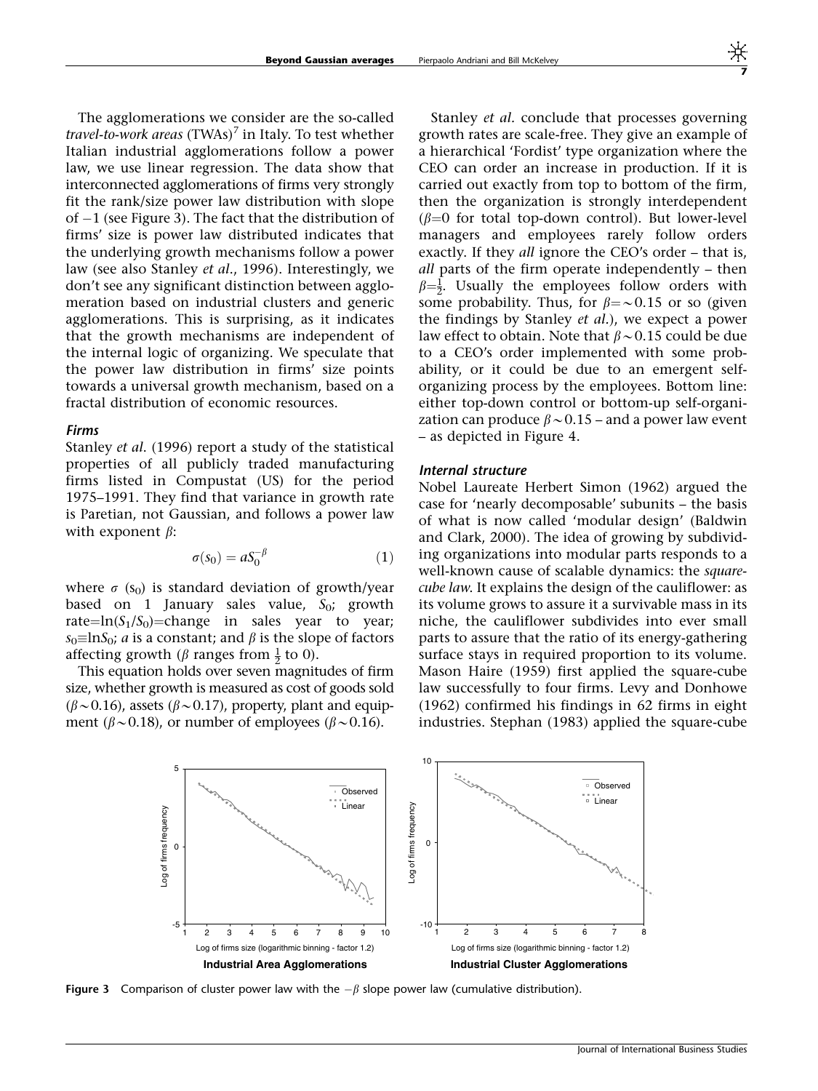The agglomerations we consider are the so-called *travel-to-work areas*  $(TWAs)^7$  in Italy. To test whether Italian industrial agglomerations follow a power law, we use linear regression. The data show that interconnected agglomerations of firms very strongly fit the rank/size power law distribution with slope of -1 (see Figure 3). The fact that the distribution of firms' size is power law distributed indicates that the underlying growth mechanisms follow a power law (see also Stanley et al., 1996). Interestingly, we don't see any significant distinction between agglomeration based on industrial clusters and generic agglomerations. This is surprising, as it indicates that the growth mechanisms are independent of the internal logic of organizing. We speculate that the power law distribution in firms' size points towards a universal growth mechanism, based on a fractal distribution of economic resources.

#### Firms

Stanley et al. (1996) report a study of the statistical properties of all publicly traded manufacturing firms listed in Compustat (US) for the period 1975–1991. They find that variance in growth rate is Paretian, not Gaussian, and follows a power law with exponent  $\beta$ :

$$
\sigma(s_0) = aS_0^{-\beta} \tag{1}
$$

where  $\sigma$  (s<sub>0</sub>) is standard deviation of growth/year based on 1 January sales value,  $S_0$ ; growth rate= $\ln(S_1/S_0)$ =change in sales year to year;  $s_0 \equiv \ln S_0$ ; *a* is a constant; and  $\beta$  is the slope of factors affecting growth ( $\beta$  ranges from  $\frac{1}{2}$  to 0).

This equation holds over seven magnitudes of firm size, whether growth is measured as cost of goods sold  $(\beta \sim 0.16)$ , assets  $(\beta \sim 0.17)$ , property, plant and equipment ( $\beta \sim 0.18$ ), or number of employees ( $\beta \sim 0.16$ ).

Stanley et al. conclude that processes governing growth rates are scale-free. They give an example of a hierarchical 'Fordist' type organization where the CEO can order an increase in production. If it is carried out exactly from top to bottom of the firm, then the organization is strongly interdependent ( $\beta$ =0 for total top-down control). But lower-level managers and employees rarely follow orders exactly. If they all ignore the CEO's order – that is, all parts of the firm operate independently – then  $\beta=\frac{1}{2}$ . Usually the employees follow orders with some probability. Thus, for  $\beta = \sim 0.15$  or so (given the findings by Stanley et al.), we expect a power law effect to obtain. Note that  $\beta \sim 0.15$  could be due to a CEO's order implemented with some probability, or it could be due to an emergent selforganizing process by the employees. Bottom line: either top-down control or bottom-up self-organization can produce  $\beta \sim 0.15$  – and a power law event – as depicted in Figure 4.

## Internal structure

Nobel Laureate Herbert Simon (1962) argued the case for 'nearly decomposable' subunits – the basis of what is now called 'modular design' (Baldwin and Clark, 2000). The idea of growing by subdividing organizations into modular parts responds to a well-known cause of scalable dynamics: the squarecube law. It explains the design of the cauliflower: as its volume grows to assure it a survivable mass in its niche, the cauliflower subdivides into ever small parts to assure that the ratio of its energy-gathering surface stays in required proportion to its volume. Mason Haire (1959) first applied the square-cube law successfully to four firms. Levy and Donhowe (1962) confirmed his findings in 62 firms in eight industries. Stephan (1983) applied the square-cube



**Figure 3** Comparison of cluster power law with the  $-\beta$  slope power law (cumulative distribution).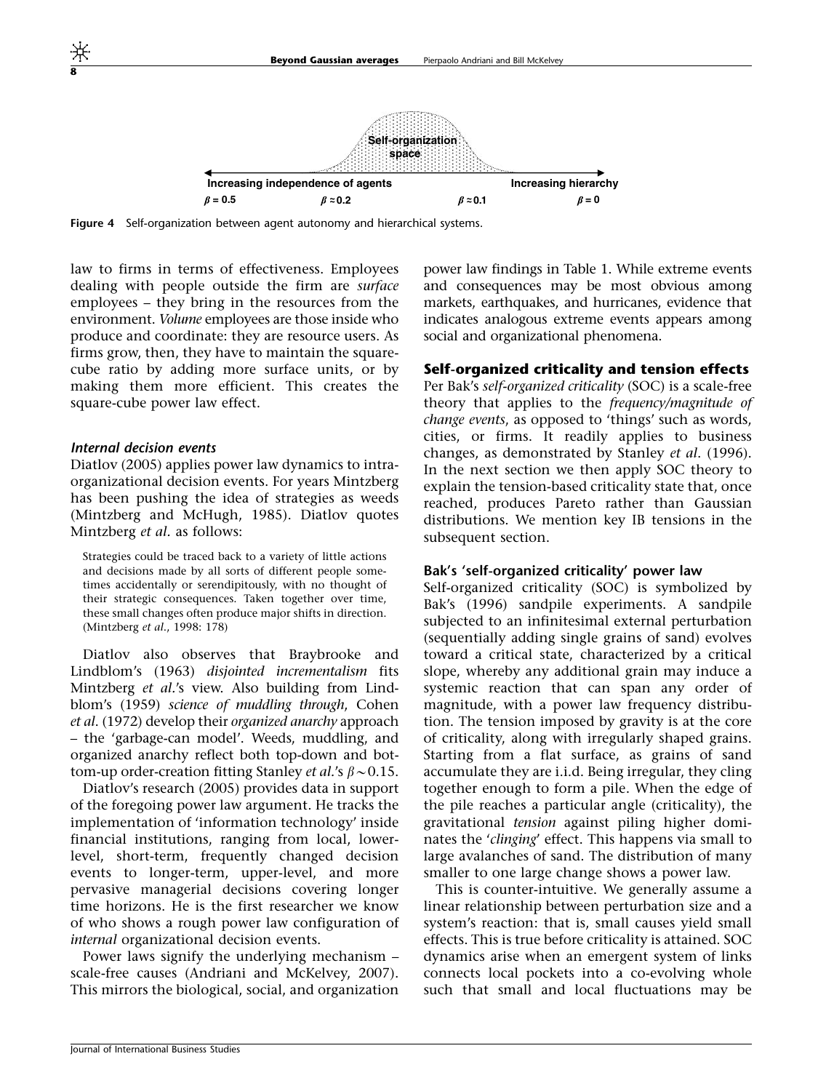

Figure 4 Self-organization between agent autonomy and hierarchical systems.

law to firms in terms of effectiveness. Employees dealing with people outside the firm are surface employees – they bring in the resources from the environment. Volume employees are those inside who produce and coordinate: they are resource users. As firms grow, then, they have to maintain the squarecube ratio by adding more surface units, or by making them more efficient. This creates the square-cube power law effect.

### Internal decision events

8

Diatlov (2005) applies power law dynamics to intraorganizational decision events. For years Mintzberg has been pushing the idea of strategies as weeds (Mintzberg and McHugh, 1985). Diatlov quotes Mintzberg et al. as follows:

Strategies could be traced back to a variety of little actions and decisions made by all sorts of different people sometimes accidentally or serendipitously, with no thought of their strategic consequences. Taken together over time, these small changes often produce major shifts in direction. (Mintzberg et al., 1998: 178)

Diatlov also observes that Braybrooke and Lindblom's (1963) disjointed incrementalism fits Mintzberg et al.'s view. Also building from Lindblom's (1959) science of muddling through, Cohen et al. (1972) develop their organized anarchy approach – the 'garbage-can model'. Weeds, muddling, and organized anarchy reflect both top-down and bottom-up order-creation fitting Stanley *et al.'s*  $\beta \sim 0.15$ .

Diatlov's research (2005) provides data in support of the foregoing power law argument. He tracks the implementation of 'information technology' inside financial institutions, ranging from local, lowerlevel, short-term, frequently changed decision events to longer-term, upper-level, and more pervasive managerial decisions covering longer time horizons. He is the first researcher we know of who shows a rough power law configuration of internal organizational decision events.

Power laws signify the underlying mechanism – scale-free causes (Andriani and McKelvey, 2007). This mirrors the biological, social, and organization power law findings in Table 1. While extreme events and consequences may be most obvious among markets, earthquakes, and hurricanes, evidence that indicates analogous extreme events appears among social and organizational phenomena.

## Self-organized criticality and tension effects

Per Bak's self-organized criticality (SOC) is a scale-free theory that applies to the frequency/magnitude of change events, as opposed to 'things' such as words, cities, or firms. It readily applies to business changes, as demonstrated by Stanley et al. (1996). In the next section we then apply SOC theory to explain the tension-based criticality state that, once reached, produces Pareto rather than Gaussian distributions. We mention key IB tensions in the subsequent section.

#### Bak's 'self-organized criticality' power law

Self-organized criticality (SOC) is symbolized by Bak's (1996) sandpile experiments. A sandpile subjected to an infinitesimal external perturbation (sequentially adding single grains of sand) evolves toward a critical state, characterized by a critical slope, whereby any additional grain may induce a systemic reaction that can span any order of magnitude, with a power law frequency distribution. The tension imposed by gravity is at the core of criticality, along with irregularly shaped grains. Starting from a flat surface, as grains of sand accumulate they are i.i.d. Being irregular, they cling together enough to form a pile. When the edge of the pile reaches a particular angle (criticality), the gravitational tension against piling higher dominates the 'clinging' effect. This happens via small to large avalanches of sand. The distribution of many smaller to one large change shows a power law.

This is counter-intuitive. We generally assume a linear relationship between perturbation size and a system's reaction: that is, small causes yield small effects. This is true before criticality is attained. SOC dynamics arise when an emergent system of links connects local pockets into a co-evolving whole such that small and local fluctuations may be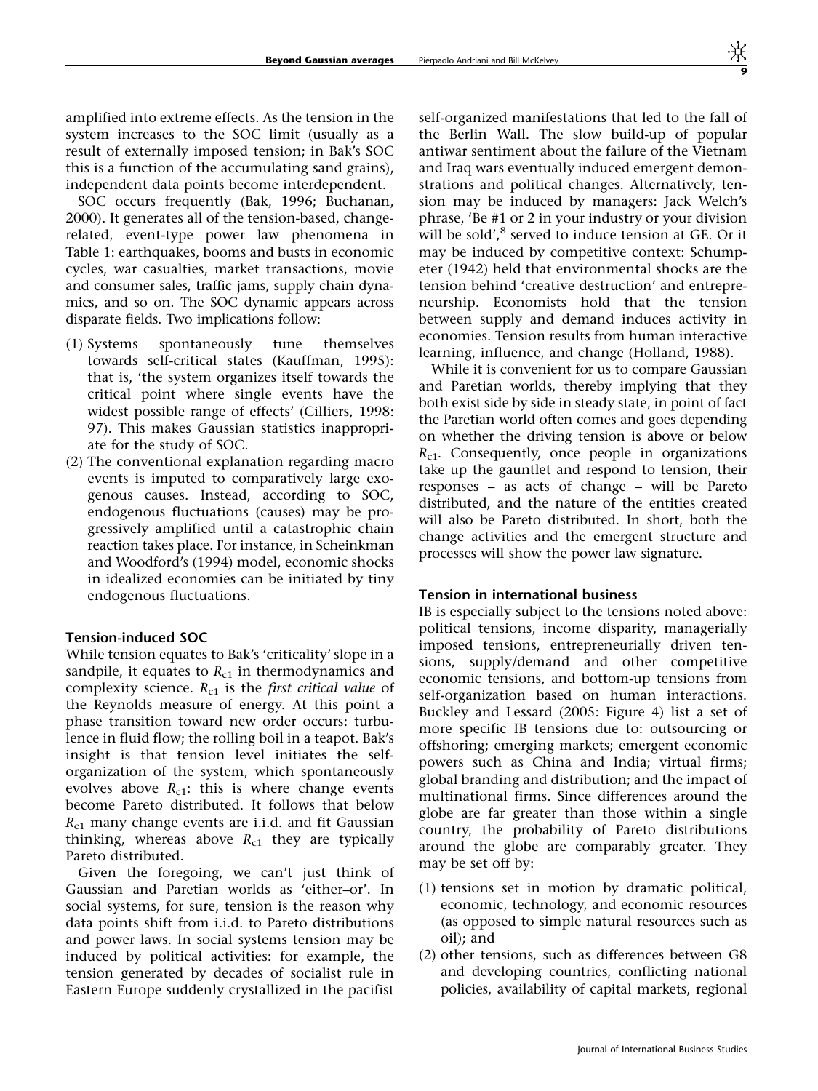amplified into extreme effects. As the tension in the system increases to the SOC limit (usually as a result of externally imposed tension; in Bak's SOC this is a function of the accumulating sand grains), independent data points become interdependent.

SOC occurs frequently (Bak, 1996; Buchanan, 2000). It generates all of the tension-based, changerelated, event-type power law phenomena in Table 1: earthquakes, booms and busts in economic cycles, war casualties, market transactions, movie and consumer sales, traffic jams, supply chain dynamics, and so on. The SOC dynamic appears across disparate fields. Two implications follow:

- (1) Systems spontaneously tune themselves towards self-critical states (Kauffman, 1995): that is, 'the system organizes itself towards the critical point where single events have the widest possible range of effects' (Cilliers, 1998: 97). This makes Gaussian statistics inappropriate for the study of SOC.
- (2) The conventional explanation regarding macro events is imputed to comparatively large exogenous causes. Instead, according to SOC, endogenous fluctuations (causes) may be progressively amplified until a catastrophic chain reaction takes place. For instance, in Scheinkman and Woodford's (1994) model, economic shocks in idealized economies can be initiated by tiny endogenous fluctuations.

## Tension-induced SOC

While tension equates to Bak's 'criticality' slope in a sandpile, it equates to  $R_{c1}$  in thermodynamics and complexity science.  $R_{c1}$  is the first critical value of the Reynolds measure of energy. At this point a phase transition toward new order occurs: turbulence in fluid flow; the rolling boil in a teapot. Bak's insight is that tension level initiates the selforganization of the system, which spontaneously evolves above  $R_{c1}$ : this is where change events become Pareto distributed. It follows that below  $R_{c1}$  many change events are i.i.d. and fit Gaussian thinking, whereas above  $R_{c1}$  they are typically Pareto distributed.

Given the foregoing, we can't just think of Gaussian and Paretian worlds as 'either–or'. In social systems, for sure, tension is the reason why data points shift from i.i.d. to Pareto distributions and power laws. In social systems tension may be induced by political activities: for example, the tension generated by decades of socialist rule in Eastern Europe suddenly crystallized in the pacifist

self-organized manifestations that led to the fall of the Berlin Wall. The slow build-up of popular antiwar sentiment about the failure of the Vietnam and Iraq wars eventually induced emergent demonstrations and political changes. Alternatively, tension may be induced by managers: Jack Welch's phrase, 'Be #1 or 2 in your industry or your division will be sold',<sup>8</sup> served to induce tension at GE. Or it may be induced by competitive context: Schumpeter (1942) held that environmental shocks are the tension behind 'creative destruction' and entrepreneurship. Economists hold that the tension between supply and demand induces activity in economies. Tension results from human interactive learning, influence, and change (Holland, 1988).

9

While it is convenient for us to compare Gaussian and Paretian worlds, thereby implying that they both exist side by side in steady state, in point of fact the Paretian world often comes and goes depending on whether the driving tension is above or below  $R_{c1}$ . Consequently, once people in organizations take up the gauntlet and respond to tension, their responses – as acts of change – will be Pareto distributed, and the nature of the entities created will also be Pareto distributed. In short, both the change activities and the emergent structure and processes will show the power law signature.

## Tension in international business

IB is especially subject to the tensions noted above: political tensions, income disparity, managerially imposed tensions, entrepreneurially driven tensions, supply/demand and other competitive economic tensions, and bottom-up tensions from self-organization based on human interactions. Buckley and Lessard (2005: Figure 4) list a set of more specific IB tensions due to: outsourcing or offshoring; emerging markets; emergent economic powers such as China and India; virtual firms; global branding and distribution; and the impact of multinational firms. Since differences around the globe are far greater than those within a single country, the probability of Pareto distributions around the globe are comparably greater. They may be set off by:

- (1) tensions set in motion by dramatic political, economic, technology, and economic resources (as opposed to simple natural resources such as oil); and
- (2) other tensions, such as differences between G8 and developing countries, conflicting national policies, availability of capital markets, regional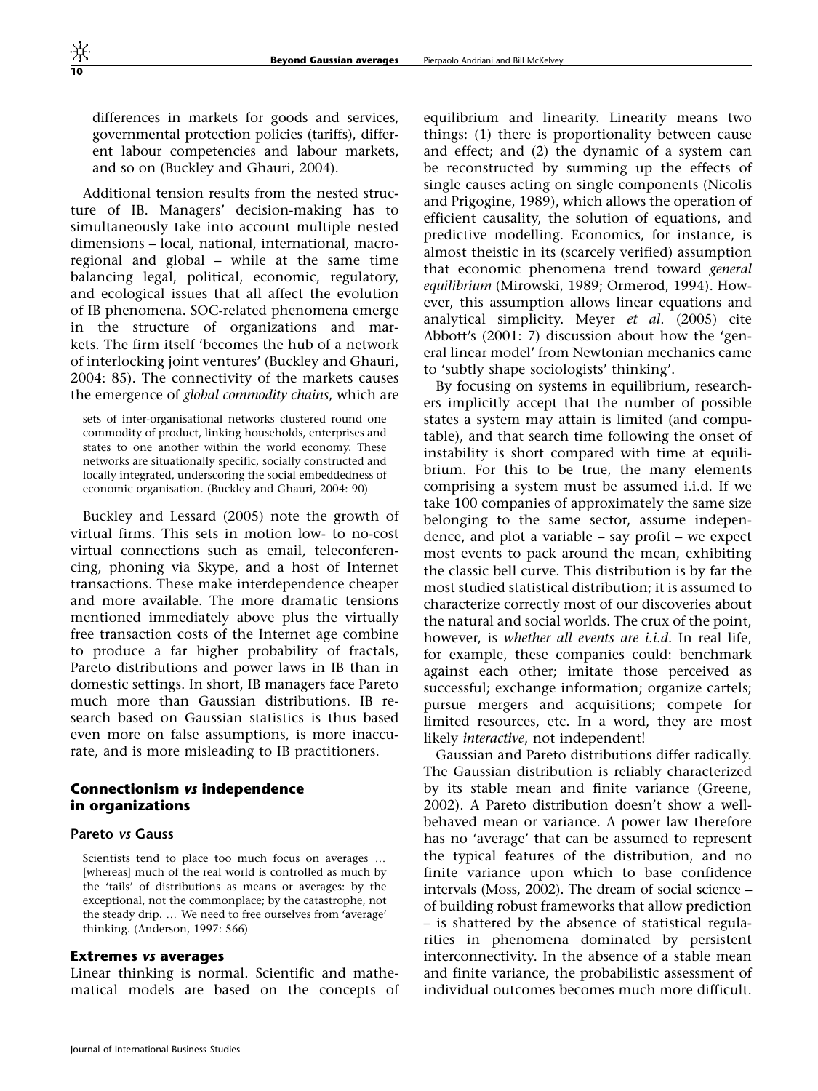differences in markets for goods and services, governmental protection policies (tariffs), different labour competencies and labour markets, and so on (Buckley and Ghauri, 2004).

Additional tension results from the nested structure of IB. Managers' decision-making has to simultaneously take into account multiple nested dimensions – local, national, international, macroregional and global – while at the same time balancing legal, political, economic, regulatory, and ecological issues that all affect the evolution of IB phenomena. SOC-related phenomena emerge in the structure of organizations and markets. The firm itself 'becomes the hub of a network of interlocking joint ventures' (Buckley and Ghauri, 2004: 85). The connectivity of the markets causes the emergence of *global commodity chains*, which are

sets of inter-organisational networks clustered round one commodity of product, linking households, enterprises and states to one another within the world economy. These networks are situationally specific, socially constructed and locally integrated, underscoring the social embeddedness of economic organisation. (Buckley and Ghauri, 2004: 90)

Buckley and Lessard (2005) note the growth of virtual firms. This sets in motion low- to no-cost virtual connections such as email, teleconferencing, phoning via Skype, and a host of Internet transactions. These make interdependence cheaper and more available. The more dramatic tensions mentioned immediately above plus the virtually free transaction costs of the Internet age combine to produce a far higher probability of fractals, Pareto distributions and power laws in IB than in domestic settings. In short, IB managers face Pareto much more than Gaussian distributions. IB research based on Gaussian statistics is thus based even more on false assumptions, is more inaccurate, and is more misleading to IB practitioners.

## Connectionism vs independence in organizations

## Pareto vs Gauss

Scientists tend to place too much focus on averages ... [whereas] much of the real world is controlled as much by the 'tails' of distributions as means or averages: by the exceptional, not the commonplace; by the catastrophe, not the steady drip. ... We need to free ourselves from 'average' thinking. (Anderson, 1997: 566)

## Extremes vs averages

Linear thinking is normal. Scientific and mathematical models are based on the concepts of equilibrium and linearity. Linearity means two things: (1) there is proportionality between cause and effect; and (2) the dynamic of a system can be reconstructed by summing up the effects of single causes acting on single components (Nicolis and Prigogine, 1989), which allows the operation of efficient causality, the solution of equations, and predictive modelling. Economics, for instance, is almost theistic in its (scarcely verified) assumption that economic phenomena trend toward general equilibrium (Mirowski, 1989; Ormerod, 1994). However, this assumption allows linear equations and analytical simplicity. Meyer et al. (2005) cite Abbott's (2001: 7) discussion about how the 'general linear model' from Newtonian mechanics came to 'subtly shape sociologists' thinking'.

By focusing on systems in equilibrium, researchers implicitly accept that the number of possible states a system may attain is limited (and computable), and that search time following the onset of instability is short compared with time at equilibrium. For this to be true, the many elements comprising a system must be assumed i.i.d. If we take 100 companies of approximately the same size belonging to the same sector, assume independence, and plot a variable – say profit – we expect most events to pack around the mean, exhibiting the classic bell curve. This distribution is by far the most studied statistical distribution; it is assumed to characterize correctly most of our discoveries about the natural and social worlds. The crux of the point, however, is whether all events are i.i.d. In real life, for example, these companies could: benchmark against each other; imitate those perceived as successful; exchange information; organize cartels; pursue mergers and acquisitions; compete for limited resources, etc. In a word, they are most likely interactive, not independent!

Gaussian and Pareto distributions differ radically. The Gaussian distribution is reliably characterized by its stable mean and finite variance (Greene, 2002). A Pareto distribution doesn't show a wellbehaved mean or variance. A power law therefore has no 'average' that can be assumed to represent the typical features of the distribution, and no finite variance upon which to base confidence intervals (Moss, 2002). The dream of social science – of building robust frameworks that allow prediction – is shattered by the absence of statistical regularities in phenomena dominated by persistent interconnectivity. In the absence of a stable mean and finite variance, the probabilistic assessment of individual outcomes becomes much more difficult.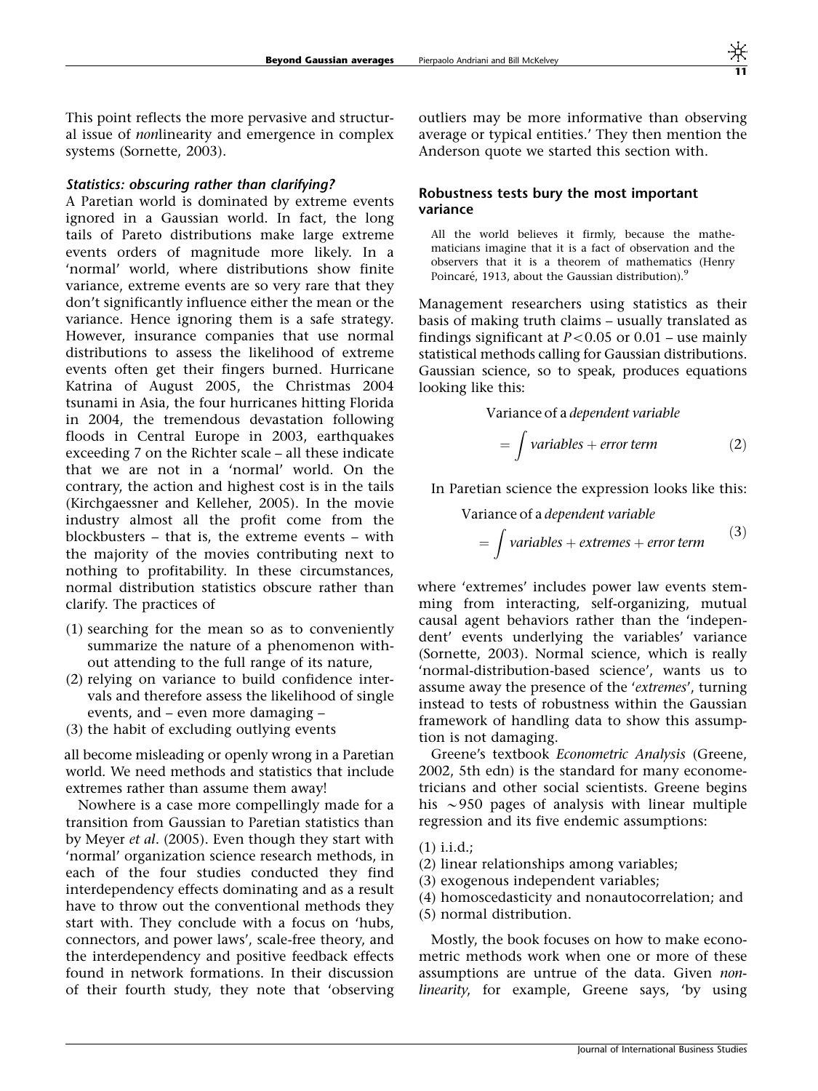This point reflects the more pervasive and structural issue of nonlinearity and emergence in complex systems (Sornette, 2003).

## Statistics: obscuring rather than clarifying?

A Paretian world is dominated by extreme events ignored in a Gaussian world. In fact, the long tails of Pareto distributions make large extreme events orders of magnitude more likely. In a 'normal' world, where distributions show finite variance, extreme events are so very rare that they don't significantly influence either the mean or the variance. Hence ignoring them is a safe strategy. However, insurance companies that use normal distributions to assess the likelihood of extreme events often get their fingers burned. Hurricane Katrina of August 2005, the Christmas 2004 tsunami in Asia, the four hurricanes hitting Florida in 2004, the tremendous devastation following floods in Central Europe in 2003, earthquakes exceeding 7 on the Richter scale – all these indicate that we are not in a 'normal' world. On the contrary, the action and highest cost is in the tails (Kirchgaessner and Kelleher, 2005). In the movie industry almost all the profit come from the blockbusters – that is, the extreme events – with the majority of the movies contributing next to nothing to profitability. In these circumstances, normal distribution statistics obscure rather than clarify. The practices of

- (1) searching for the mean so as to conveniently summarize the nature of a phenomenon without attending to the full range of its nature,
- (2) relying on variance to build confidence intervals and therefore assess the likelihood of single events, and – even more damaging –
- (3) the habit of excluding outlying events

all become misleading or openly wrong in a Paretian world. We need methods and statistics that include extremes rather than assume them away!

Nowhere is a case more compellingly made for a transition from Gaussian to Paretian statistics than by Meyer et al. (2005). Even though they start with 'normal' organization science research methods, in each of the four studies conducted they find interdependency effects dominating and as a result have to throw out the conventional methods they start with. They conclude with a focus on 'hubs, connectors, and power laws', scale-free theory, and the interdependency and positive feedback effects found in network formations. In their discussion of their fourth study, they note that 'observing outliers may be more informative than observing average or typical entities.' They then mention the Anderson quote we started this section with.

## Robustness tests bury the most important variance

All the world believes it firmly, because the mathematicians imagine that it is a fact of observation and the observers that it is a theorem of mathematics (Henry Poincaré, 1913, about the Gaussian distribution).<sup>9</sup>

Management researchers using statistics as their basis of making truth claims – usually translated as findings significant at  $P < 0.05$  or 0.01 – use mainly statistical methods calling for Gaussian distributions. Gaussian science, so to speak, produces equations looking like this:

#### Variance of a dependent variable

$$
= \int variables + error term \tag{2}
$$

In Paretian science the expression looks like this:

Variance of a dependent variable

$$
= \int variables + extremes + error term
$$
 (3)

where 'extremes' includes power law events stemming from interacting, self-organizing, mutual causal agent behaviors rather than the 'independent' events underlying the variables' variance (Sornette, 2003). Normal science, which is really 'normal-distribution-based science', wants us to assume away the presence of the 'extremes', turning instead to tests of robustness within the Gaussian framework of handling data to show this assumption is not damaging.

Greene's textbook Econometric Analysis (Greene, 2002, 5th edn) is the standard for many econometricians and other social scientists. Greene begins his  $\sim$ 950 pages of analysis with linear multiple regression and its five endemic assumptions:

- (1) i.i.d.;
- (2) linear relationships among variables;
- (3) exogenous independent variables;

(4) homoscedasticity and nonautocorrelation; and

(5) normal distribution.

Mostly, the book focuses on how to make econometric methods work when one or more of these assumptions are untrue of the data. Given nonlinearity, for example, Greene says, 'by using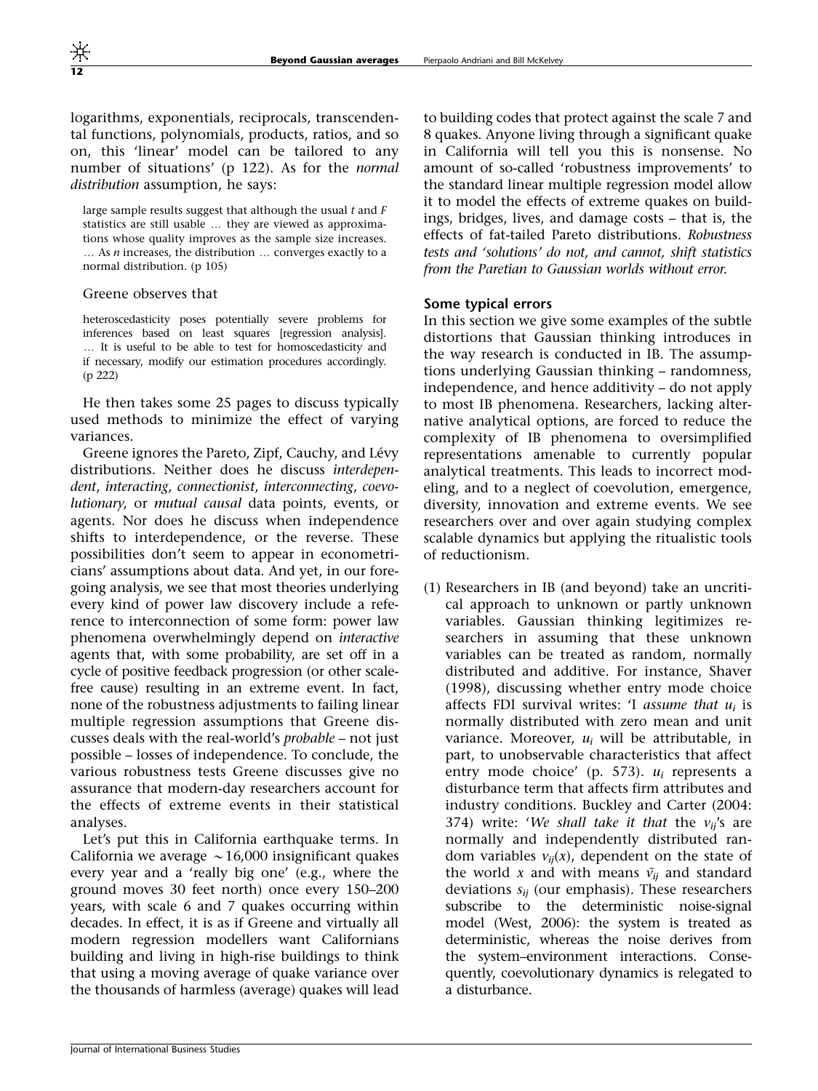logarithms, exponentials, reciprocals, transcendental functions, polynomials, products, ratios, and so on, this 'linear' model can be tailored to any number of situations' (p 122). As for the normal distribution assumption, he says:

large sample results suggest that although the usual  $t$  and  $F$ statistics are still usable ... they are viewed as approximations whose quality improves as the sample size increases.  $\ldots$  As n increases, the distribution  $\ldots$  converges exactly to a normal distribution. (p 105)

#### Greene observes that

heteroscedasticity poses potentially severe problems for inferences based on least squares [regression analysis]. ... It is useful to be able to test for homoscedasticity and if necessary, modify our estimation procedures accordingly. (p 222)

He then takes some 25 pages to discuss typically used methods to minimize the effect of varying variances.

Greene ignores the Pareto, Zipf, Cauchy, and Lévy distributions. Neither does he discuss interdependent, interacting, connectionist, interconnecting, coevolutionary, or mutual causal data points, events, or agents. Nor does he discuss when independence shifts to interdependence, or the reverse. These possibilities don't seem to appear in econometricians' assumptions about data. And yet, in our foregoing analysis, we see that most theories underlying every kind of power law discovery include a reference to interconnection of some form: power law phenomena overwhelmingly depend on interactive agents that, with some probability, are set off in a cycle of positive feedback progression (or other scalefree cause) resulting in an extreme event. In fact, none of the robustness adjustments to failing linear multiple regression assumptions that Greene discusses deals with the real-world's probable – not just possible – losses of independence. To conclude, the various robustness tests Greene discusses give no assurance that modern-day researchers account for the effects of extreme events in their statistical analyses.

Let's put this in California earthquake terms. In California we average  $\sim$  16,000 insignificant quakes every year and a 'really big one' (e.g., where the ground moves 30 feet north) once every 150–200 years, with scale 6 and 7 quakes occurring within decades. In effect, it is as if Greene and virtually all modern regression modellers want Californians building and living in high-rise buildings to think that using a moving average of quake variance over the thousands of harmless (average) quakes will lead

to building codes that protect against the scale 7 and 8 quakes. Anyone living through a significant quake in California will tell you this is nonsense. No amount of so-called 'robustness improvements' to the standard linear multiple regression model allow it to model the effects of extreme quakes on buildings, bridges, lives, and damage costs – that is, the effects of fat-tailed Pareto distributions. Robustness tests and 'solutions' do not, and cannot, shift statistics from the Paretian to Gaussian worlds without error.

#### Some typical errors

In this section we give some examples of the subtle distortions that Gaussian thinking introduces in the way research is conducted in IB. The assumptions underlying Gaussian thinking – randomness, independence, and hence additivity – do not apply to most IB phenomena. Researchers, lacking alternative analytical options, are forced to reduce the complexity of IB phenomena to oversimplified representations amenable to currently popular analytical treatments. This leads to incorrect modeling, and to a neglect of coevolution, emergence, diversity, innovation and extreme events. We see researchers over and over again studying complex scalable dynamics but applying the ritualistic tools of reductionism.

(1) Researchers in IB (and beyond) take an uncritical approach to unknown or partly unknown variables. Gaussian thinking legitimizes researchers in assuming that these unknown variables can be treated as random, normally distributed and additive. For instance, Shaver (1998), discussing whether entry mode choice affects FDI survival writes: 'I assume that  $u_i$  is normally distributed with zero mean and unit variance. Moreover,  $u_i$  will be attributable, in part, to unobservable characteristics that affect entry mode choice' (p. 573).  $u_i$  represents a disturbance term that affects firm attributes and industry conditions. Buckley and Carter (2004: 374) write: 'We shall take it that the  $v_{ii}$ 's are normally and independently distributed random variables  $v_{ii}(x)$ , dependent on the state of the world x and with means  $\bar{v}_{ij}$  and standard deviations  $s_{ii}$  (our emphasis). These researchers subscribe to the deterministic noise-signal model (West, 2006): the system is treated as deterministic, whereas the noise derives from the system–environment interactions. Consequently, coevolutionary dynamics is relegated to a disturbance.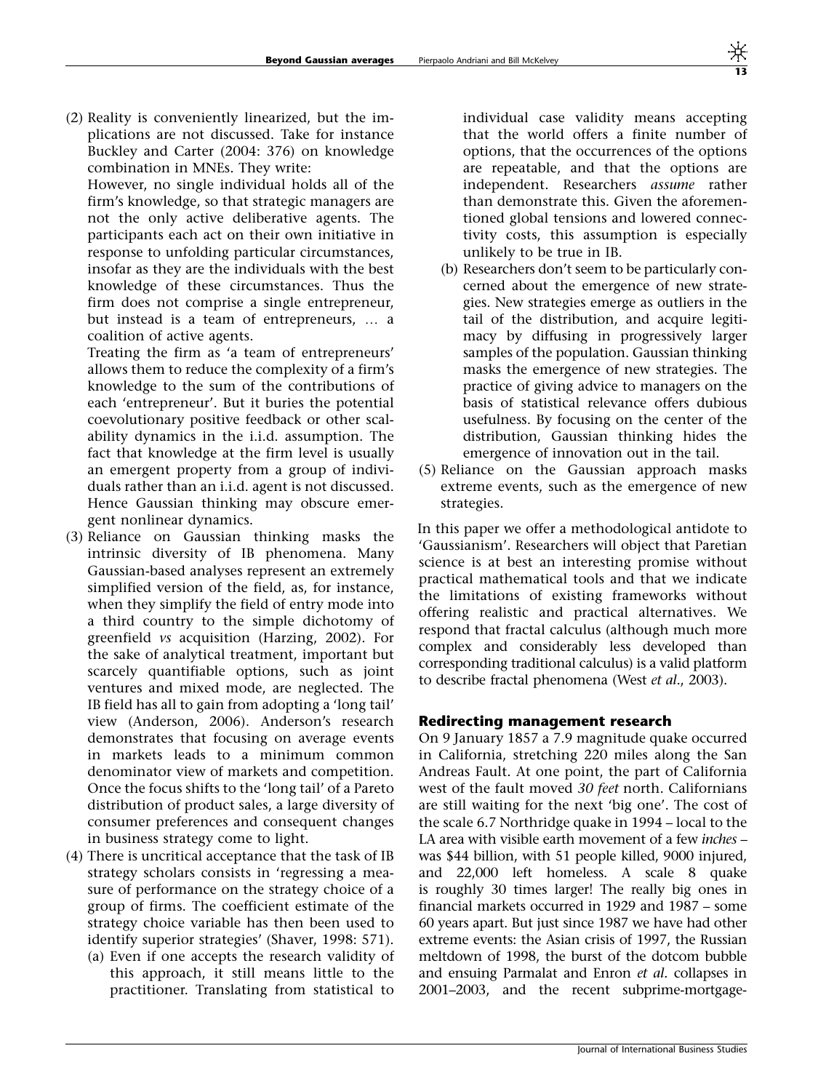(2) Reality is conveniently linearized, but the implications are not discussed. Take for instance Buckley and Carter (2004: 376) on knowledge combination in MNEs. They write:

However, no single individual holds all of the firm's knowledge, so that strategic managers are not the only active deliberative agents. The participants each act on their own initiative in response to unfolding particular circumstances, insofar as they are the individuals with the best knowledge of these circumstances. Thus the firm does not comprise a single entrepreneur, but instead is a team of entrepreneurs, ... a coalition of active agents.

Treating the firm as 'a team of entrepreneurs' allows them to reduce the complexity of a firm's knowledge to the sum of the contributions of each 'entrepreneur'. But it buries the potential coevolutionary positive feedback or other scalability dynamics in the i.i.d. assumption. The fact that knowledge at the firm level is usually an emergent property from a group of individuals rather than an i.i.d. agent is not discussed. Hence Gaussian thinking may obscure emergent nonlinear dynamics.

- (3) Reliance on Gaussian thinking masks the intrinsic diversity of IB phenomena. Many Gaussian-based analyses represent an extremely simplified version of the field, as, for instance, when they simplify the field of entry mode into a third country to the simple dichotomy of greenfield vs acquisition (Harzing, 2002). For the sake of analytical treatment, important but scarcely quantifiable options, such as joint ventures and mixed mode, are neglected. The IB field has all to gain from adopting a 'long tail' view (Anderson, 2006). Anderson's research demonstrates that focusing on average events in markets leads to a minimum common denominator view of markets and competition. Once the focus shifts to the 'long tail' of a Pareto distribution of product sales, a large diversity of consumer preferences and consequent changes in business strategy come to light.
- (4) There is uncritical acceptance that the task of IB strategy scholars consists in 'regressing a measure of performance on the strategy choice of a group of firms. The coefficient estimate of the strategy choice variable has then been used to identify superior strategies' (Shaver, 1998: 571).
	- (a) Even if one accepts the research validity of this approach, it still means little to the practitioner. Translating from statistical to

individual case validity means accepting that the world offers a finite number of options, that the occurrences of the options are repeatable, and that the options are independent. Researchers assume rather than demonstrate this. Given the aforementioned global tensions and lowered connectivity costs, this assumption is especially unlikely to be true in IB.

- (b) Researchers don't seem to be particularly concerned about the emergence of new strategies. New strategies emerge as outliers in the tail of the distribution, and acquire legitimacy by diffusing in progressively larger samples of the population. Gaussian thinking masks the emergence of new strategies. The practice of giving advice to managers on the basis of statistical relevance offers dubious usefulness. By focusing on the center of the distribution, Gaussian thinking hides the emergence of innovation out in the tail.
- (5) Reliance on the Gaussian approach masks extreme events, such as the emergence of new strategies.

In this paper we offer a methodological antidote to 'Gaussianism'. Researchers will object that Paretian science is at best an interesting promise without practical mathematical tools and that we indicate the limitations of existing frameworks without offering realistic and practical alternatives. We respond that fractal calculus (although much more complex and considerably less developed than corresponding traditional calculus) is a valid platform to describe fractal phenomena (West et al., 2003).

## Redirecting management research

On 9 January 1857 a 7.9 magnitude quake occurred in California, stretching 220 miles along the San Andreas Fault. At one point, the part of California west of the fault moved 30 feet north. Californians are still waiting for the next 'big one'. The cost of the scale 6.7 Northridge quake in 1994 – local to the LA area with visible earth movement of a few inches – was \$44 billion, with 51 people killed, 9000 injured, and 22,000 left homeless. A scale 8 quake is roughly 30 times larger! The really big ones in financial markets occurred in 1929 and 1987 – some 60 years apart. But just since 1987 we have had other extreme events: the Asian crisis of 1997, the Russian meltdown of 1998, the burst of the dotcom bubble and ensuing Parmalat and Enron et al. collapses in 2001–2003, and the recent subprime-mortgage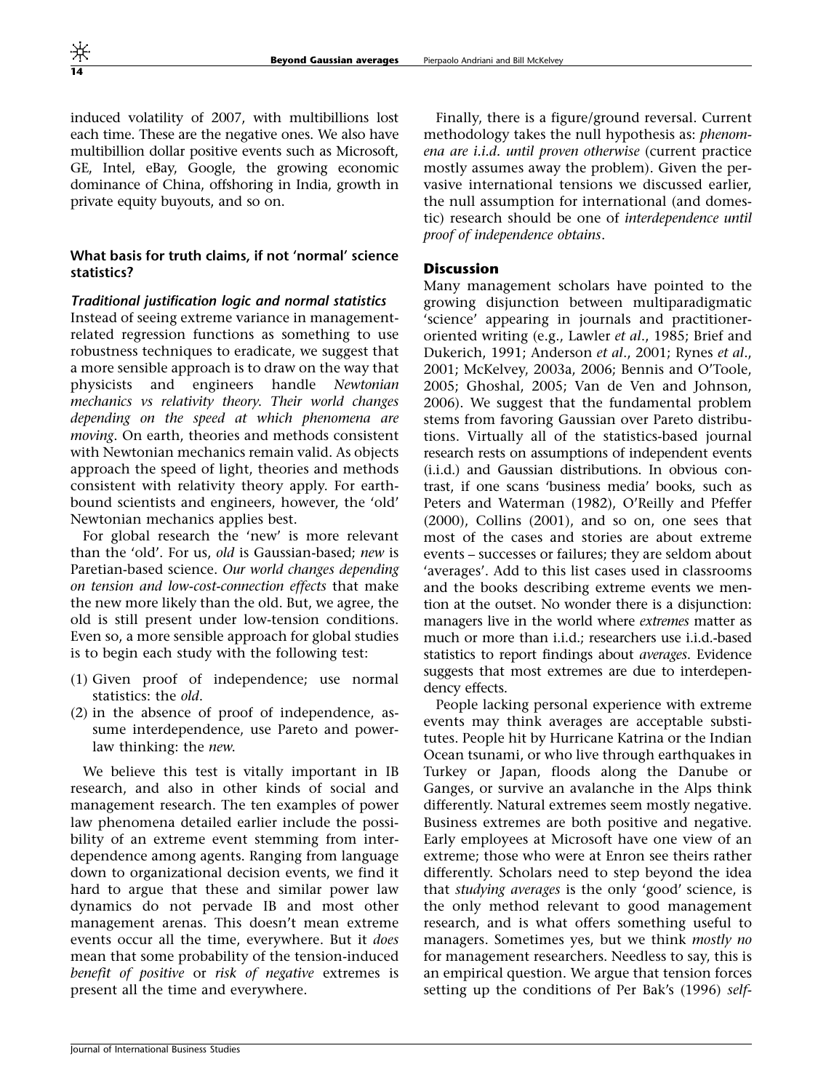induced volatility of 2007, with multibillions lost each time. These are the negative ones. We also have multibillion dollar positive events such as Microsoft, GE, Intel, eBay, Google, the growing economic dominance of China, offshoring in India, growth in private equity buyouts, and so on.

## What basis for truth claims, if not 'normal' science statistics?

#### Traditional justification logic and normal statistics

Instead of seeing extreme variance in managementrelated regression functions as something to use robustness techniques to eradicate, we suggest that a more sensible approach is to draw on the way that physicists and engineers handle Newtonian mechanics vs relativity theory. Their world changes depending on the speed at which phenomena are moving. On earth, theories and methods consistent with Newtonian mechanics remain valid. As objects approach the speed of light, theories and methods consistent with relativity theory apply. For earthbound scientists and engineers, however, the 'old' Newtonian mechanics applies best.

For global research the 'new' is more relevant than the 'old'. For us, old is Gaussian-based; new is Paretian-based science. Our world changes depending on tension and low-cost-connection effects that make the new more likely than the old. But, we agree, the old is still present under low-tension conditions. Even so, a more sensible approach for global studies is to begin each study with the following test:

- (1) Given proof of independence; use normal statistics: the old.
- (2) in the absence of proof of independence, assume interdependence, use Pareto and powerlaw thinking: the new.

We believe this test is vitally important in IB research, and also in other kinds of social and management research. The ten examples of power law phenomena detailed earlier include the possibility of an extreme event stemming from interdependence among agents. Ranging from language down to organizational decision events, we find it hard to argue that these and similar power law dynamics do not pervade IB and most other management arenas. This doesn't mean extreme events occur all the time, everywhere. But it does mean that some probability of the tension-induced benefit of positive or risk of negative extremes is present all the time and everywhere.

Finally, there is a figure/ground reversal. Current methodology takes the null hypothesis as: phenomena are i.i.d. until proven otherwise (current practice mostly assumes away the problem). Given the pervasive international tensions we discussed earlier, the null assumption for international (and domestic) research should be one of interdependence until proof of independence obtains.

## **Discussion**

Many management scholars have pointed to the growing disjunction between multiparadigmatic 'science' appearing in journals and practitioneroriented writing (e.g., Lawler et al., 1985; Brief and Dukerich, 1991; Anderson et al., 2001; Rynes et al., 2001; McKelvey, 2003a, 2006; Bennis and O'Toole, 2005; Ghoshal, 2005; Van de Ven and Johnson, 2006). We suggest that the fundamental problem stems from favoring Gaussian over Pareto distributions. Virtually all of the statistics-based journal research rests on assumptions of independent events (i.i.d.) and Gaussian distributions. In obvious contrast, if one scans 'business media' books, such as Peters and Waterman (1982), O'Reilly and Pfeffer (2000), Collins (2001), and so on, one sees that most of the cases and stories are about extreme events – successes or failures; they are seldom about 'averages'. Add to this list cases used in classrooms and the books describing extreme events we mention at the outset. No wonder there is a disjunction: managers live in the world where extremes matter as much or more than i.i.d.; researchers use i.i.d.-based statistics to report findings about averages. Evidence suggests that most extremes are due to interdependency effects.

People lacking personal experience with extreme events may think averages are acceptable substitutes. People hit by Hurricane Katrina or the Indian Ocean tsunami, or who live through earthquakes in Turkey or Japan, floods along the Danube or Ganges, or survive an avalanche in the Alps think differently. Natural extremes seem mostly negative. Business extremes are both positive and negative. Early employees at Microsoft have one view of an extreme; those who were at Enron see theirs rather differently. Scholars need to step beyond the idea that studying averages is the only 'good' science, is the only method relevant to good management research, and is what offers something useful to managers. Sometimes yes, but we think mostly no for management researchers. Needless to say, this is an empirical question. We argue that tension forces setting up the conditions of Per Bak's (1996) self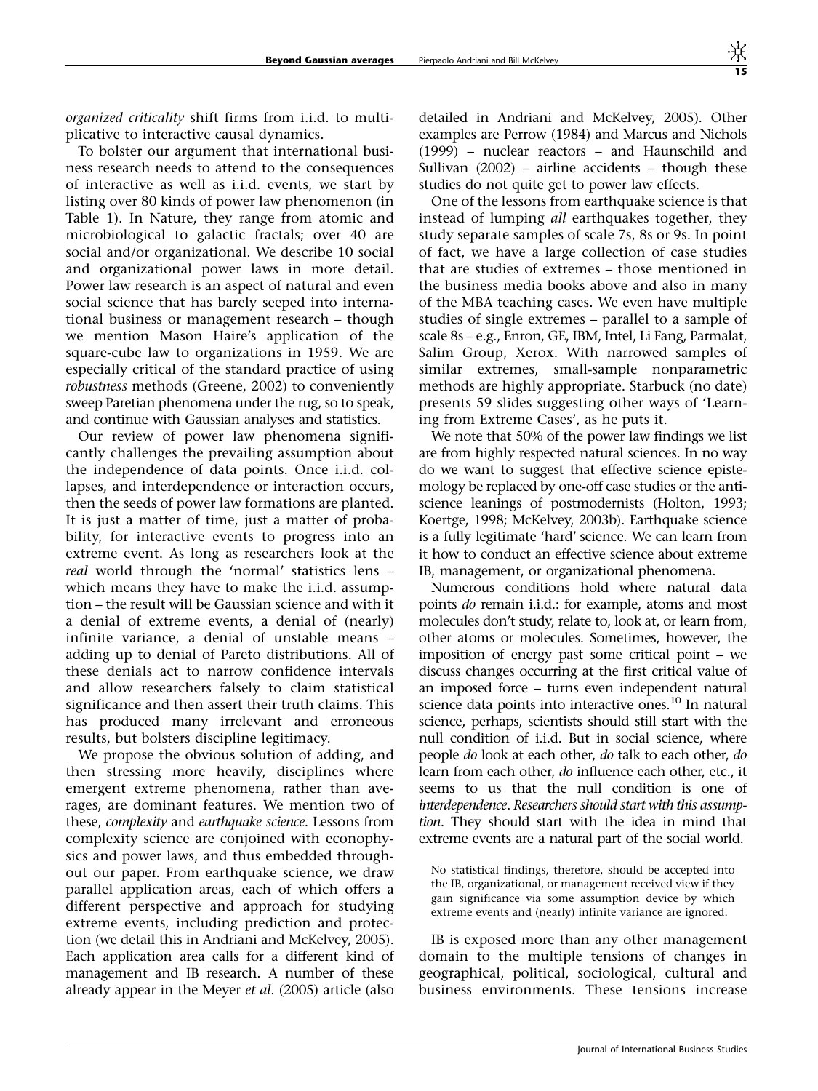organized criticality shift firms from i.i.d. to multiplicative to interactive causal dynamics.

To bolster our argument that international business research needs to attend to the consequences of interactive as well as i.i.d. events, we start by listing over 80 kinds of power law phenomenon (in Table 1). In Nature, they range from atomic and microbiological to galactic fractals; over 40 are social and/or organizational. We describe 10 social and organizational power laws in more detail. Power law research is an aspect of natural and even social science that has barely seeped into international business or management research – though we mention Mason Haire's application of the square-cube law to organizations in 1959. We are especially critical of the standard practice of using robustness methods (Greene, 2002) to conveniently sweep Paretian phenomena under the rug, so to speak, and continue with Gaussian analyses and statistics.

Our review of power law phenomena significantly challenges the prevailing assumption about the independence of data points. Once i.i.d. collapses, and interdependence or interaction occurs, then the seeds of power law formations are planted. It is just a matter of time, just a matter of probability, for interactive events to progress into an extreme event. As long as researchers look at the real world through the 'normal' statistics lens – which means they have to make the i.i.d. assumption – the result will be Gaussian science and with it a denial of extreme events, a denial of (nearly) infinite variance, a denial of unstable means – adding up to denial of Pareto distributions. All of these denials act to narrow confidence intervals and allow researchers falsely to claim statistical significance and then assert their truth claims. This has produced many irrelevant and erroneous results, but bolsters discipline legitimacy.

We propose the obvious solution of adding, and then stressing more heavily, disciplines where emergent extreme phenomena, rather than averages, are dominant features. We mention two of these, complexity and earthquake science. Lessons from complexity science are conjoined with econophysics and power laws, and thus embedded throughout our paper. From earthquake science, we draw parallel application areas, each of which offers a different perspective and approach for studying extreme events, including prediction and protection (we detail this in Andriani and McKelvey, 2005). Each application area calls for a different kind of management and IB research. A number of these already appear in the Meyer et al. (2005) article (also

detailed in Andriani and McKelvey, 2005). Other examples are Perrow (1984) and Marcus and Nichols (1999) – nuclear reactors – and Haunschild and Sullivan (2002) – airline accidents – though these studies do not quite get to power law effects.

One of the lessons from earthquake science is that instead of lumping *all* earthquakes together, they study separate samples of scale 7s, 8s or 9s. In point of fact, we have a large collection of case studies that are studies of extremes – those mentioned in the business media books above and also in many of the MBA teaching cases. We even have multiple studies of single extremes – parallel to a sample of scale 8s – e.g., Enron, GE, IBM, Intel, Li Fang, Parmalat, Salim Group, Xerox. With narrowed samples of similar extremes, small-sample nonparametric methods are highly appropriate. Starbuck (no date) presents 59 slides suggesting other ways of 'Learning from Extreme Cases', as he puts it.

We note that 50% of the power law findings we list are from highly respected natural sciences. In no way do we want to suggest that effective science epistemology be replaced by one-off case studies or the antiscience leanings of postmodernists (Holton, 1993; Koertge, 1998; McKelvey, 2003b). Earthquake science is a fully legitimate 'hard' science. We can learn from it how to conduct an effective science about extreme IB, management, or organizational phenomena.

Numerous conditions hold where natural data points do remain i.i.d.: for example, atoms and most molecules don't study, relate to, look at, or learn from, other atoms or molecules. Sometimes, however, the imposition of energy past some critical point – we discuss changes occurring at the first critical value of an imposed force – turns even independent natural science data points into interactive ones.<sup>10</sup> In natural science, perhaps, scientists should still start with the null condition of i.i.d. But in social science, where people do look at each other, do talk to each other, do learn from each other, do influence each other, etc., it seems to us that the null condition is one of interdependence. Researchers should start with this assumption. They should start with the idea in mind that extreme events are a natural part of the social world.

No statistical findings, therefore, should be accepted into the IB, organizational, or management received view if they gain significance via some assumption device by which extreme events and (nearly) infinite variance are ignored.

IB is exposed more than any other management domain to the multiple tensions of changes in geographical, political, sociological, cultural and business environments. These tensions increase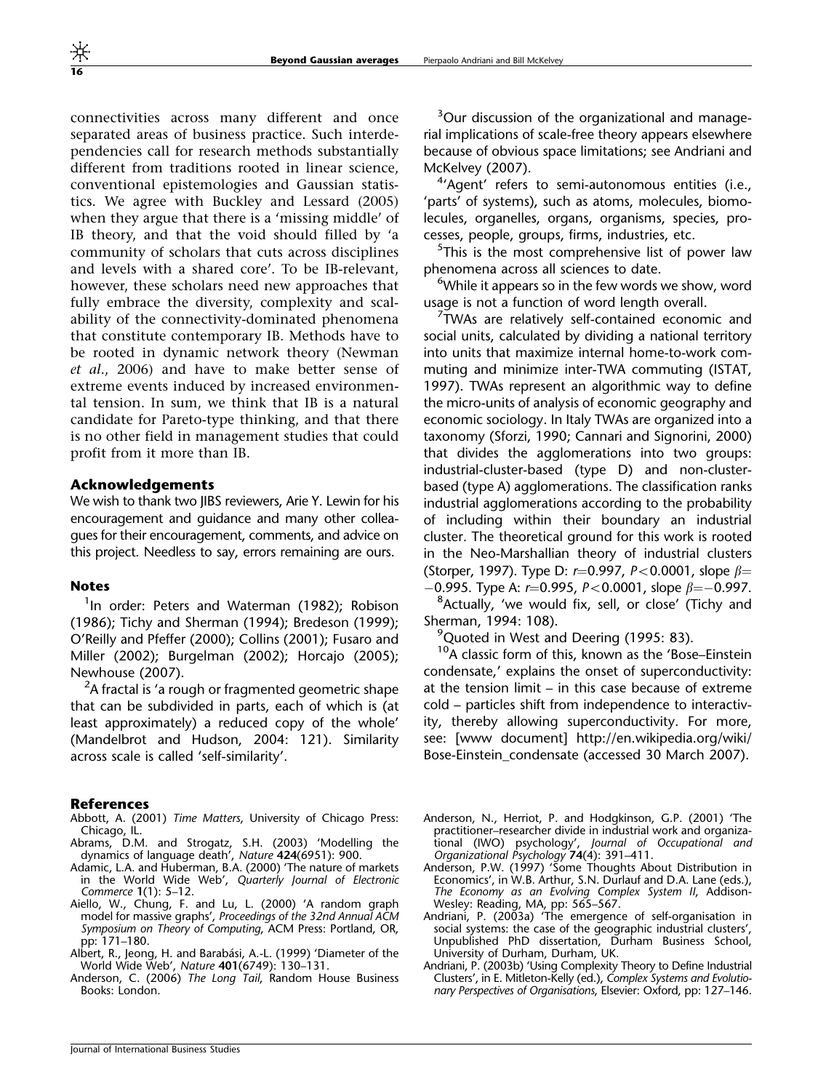connectivities across many different and once separated areas of business practice. Such interdependencies call for research methods substantially different from traditions rooted in linear science, conventional epistemologies and Gaussian statistics. We agree with Buckley and Lessard (2005) when they argue that there is a 'missing middle' of IB theory, and that the void should filled by 'a community of scholars that cuts across disciplines and levels with a shared core'. To be IB-relevant, however, these scholars need new approaches that fully embrace the diversity, complexity and scalability of the connectivity-dominated phenomena that constitute contemporary IB. Methods have to be rooted in dynamic network theory (Newman et al., 2006) and have to make better sense of extreme events induced by increased environmental tension. In sum, we think that IB is a natural candidate for Pareto-type thinking, and that there is no other field in management studies that could profit from it more than IB.

#### Acknowledgements

We wish to thank two JIBS reviewers, Arie Y. Lewin for his encouragement and guidance and many other colleagues for their encouragement, comments, and advice on this project. Needless to say, errors remaining are ours.

### Notes

<sup>1</sup>In order: Peters and Waterman (1982); Robison (1986); Tichy and Sherman (1994); Bredeson (1999); O'Reilly and Pfeffer (2000); Collins (2001); Fusaro and Miller (2002); Burgelman (2002); Horcajo (2005); Newhouse (2007).

<sup>2</sup>A fractal is 'a rough or fragmented geometric shape that can be subdivided in parts, each of which is (at least approximately) a reduced copy of the whole' (Mandelbrot and Hudson, 2004: 121). Similarity across scale is called 'self-similarity'.

#### **References**

- Abbott, A. (2001) Time Matters, University of Chicago Press: Chicago, IL.
- Abrams, D.M. and Strogatz, S.H. (2003) 'Modelling the dynamics of language death', Nature 424(6951): 900.
- Adamic, L.A. and Huberman, B.A. (2000) 'The nature of markets in the World Wide Web', Quarterly Journal of Electronic Commerce 1(1): 5–12.
- Aiello, W., Chung, F. and Lu, L. (2000) 'A random graph model for massive graphs', Proceedings of the 32nd Annual ACM Symposium on Theory of Computing, ACM Press: Portland, OR, pp: 171–180.
- Albert, R., Jeong, H. and Barabási, A.-L. (1999) 'Diameter of the World Wide Web', Nature 401(6749): 130–131.
- Anderson, C. (2006) The Long Tail, Random House Business Books: London.

<sup>3</sup>Our discussion of the organizational and managerial implications of scale-free theory appears elsewhere because of obvious space limitations; see Andriani and McKelvey (2007).

<sup>4</sup>'Agent' refers to semi-autonomous entities (i.e., 'parts' of systems), such as atoms, molecules, biomolecules, organelles, organs, organisms, species, processes, people, groups, firms, industries, etc.

<sup>5</sup>This is the most comprehensive list of power law phenomena across all sciences to date.

<sup>6</sup>While it appears so in the few words we show, word usage is not a function of word length overall.

<sup>7</sup>TWAs are relatively self-contained economic and social units, calculated by dividing a national territory into units that maximize internal home-to-work commuting and minimize inter-TWA commuting (ISTAT, 1997). TWAs represent an algorithmic way to define the micro-units of analysis of economic geography and economic sociology. In Italy TWAs are organized into a taxonomy (Sforzi, 1990; Cannari and Signorini, 2000) that divides the agglomerations into two groups: industrial-cluster-based (type D) and non-clusterbased (type A) agglomerations. The classification ranks industrial agglomerations according to the probability of including within their boundary an industrial cluster. The theoretical ground for this work is rooted in the Neo-Marshallian theory of industrial clusters (Storper, 1997). Type D:  $r=0.997$ ,  $P<0.0001$ , slope  $\beta=$  $-0.995$ . Type A: r=0.995, P<0.0001, slope  $\beta = -0.997$ .

<sup>8</sup>Actually, 'we would fix, sell, or close' (Tichy and Sherman, 1994: 108).

 $<sup>9</sup>$ Quoted in West and Deering (1995: 83).</sup>

<sup>10</sup>A classic form of this, known as the 'Bose-Einstein condensate,' explains the onset of superconductivity: at the tension limit – in this case because of extreme cold – particles shift from independence to interactivity, thereby allowing superconductivity. For more, see: [www document] http://en.wikipedia.org/wiki/ Bose-Einstein\_condensate (accessed 30 March 2007).

- Anderson, N., Herriot, P. and Hodgkinson, G.P. (2001) 'The practitioner–researcher divide in industrial work and organizational (IWO) psychology', Journal of Occupational and Organizational Psychology 74(4): 391–411.
- Anderson, P.W. (1997) 'Some Thoughts About Distribution in Economics', in W.B. Arthur, S.N. Durlauf and D.A. Lane (eds.), The Economy as an Evolving Complex System II, Addison-Wesley: Reading, MA, pp: 565–567.
- Andriani, P. (2003a) The emergence of self-organisation in social systems: the case of the geographic industrial clusters', Unpublished PhD dissertation, Durham Business School, University of Durham, Durham, UK.
- Andriani, P. (2003b) 'Using Complexity Theory to Define Industrial Clusters', in E. Mitleton-Kelly (ed.), Complex Systems and Evolutionary Perspectives of Organisations, Elsevier: Oxford, pp: 127–146.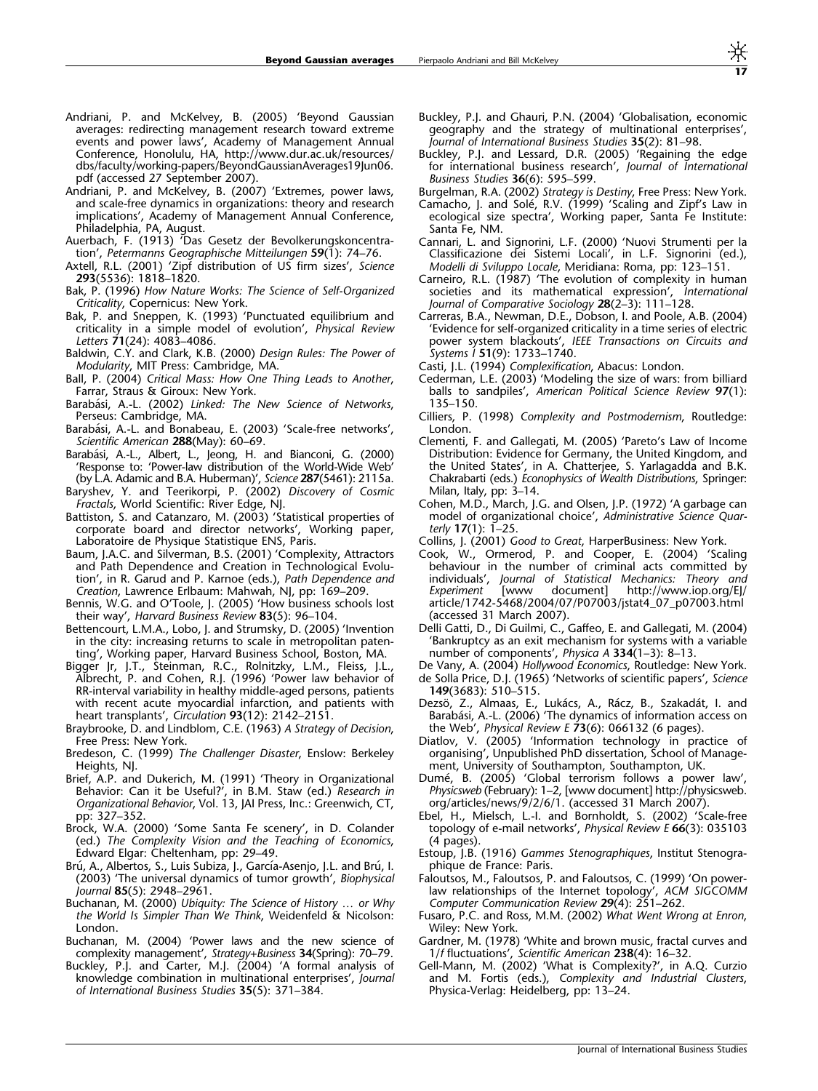17

- Andriani, P. and McKelvey, B. (2005) 'Beyond Gaussian averages: redirecting management research toward extreme events and power laws', Academy of Management Annual Conference, Honolulu, HA, http://www.dur.ac.uk/resources/ dbs/faculty/working-papers/BeyondGaussianAverages19Jun06. pdf (accessed 27 September 2007).
- Andriani, P. and McKelvey, B. (2007) 'Extremes, power laws, and scale-free dynamics in organizations: theory and research implications', Academy of Management Annual Conference, Philadelphia, PA, August.
- Auerbach, F. (1913) 'Das Gesetz der Bevolkerungskoncentration', Petermanns Geographische Mitteilungen 59(1): 74-76.
- Axtell, R.L. (2001) 'Zipf distribution of US firm sizes', Science 293(5536): 1818–1820.
- Bak, P. (1996) How Nature Works: The Science of Self-Organized Criticality, Copernicus: New York.
- Bak, P. and Sneppen, K. (1993) 'Punctuated equilibrium and criticality in a simple model of evolution', Physical Review Letters 71(24): 4083-4086.
- Baldwin, C.Y. and Clark, K.B. (2000) Design Rules: The Power of Modularity, MIT Press: Cambridge, MA.
- Ball, P. (2004) Critical Mass: How One Thing Leads to Another, Farrar, Straus & Giroux: New York.
- Barabási, A.-L. (2002) Linked: The New Science of Networks, Perseus: Cambridge, MA.
- Barabási, A.-L. and Bonabeau, E. (2003) 'Scale-free networks', Scientific American 288(May): 60-69.
- Barabási, A.-L., Albert, L., Jeong, H. and Bianconi, G. (2000) 'Response to: 'Power-law distribution of the World-Wide Web' (by L.A. Adamic and B.A. Huberman)', Science 287(5461): 2115a.
- Baryshev, Y. and Teerikorpi, P. (2002) Discovery of Cosmic Fractals, World Scientific: River Edge, NJ.
- Battiston, S. and Catanzaro, M. (2003) 'Statistical properties of corporate board and director networks', Working paper, Laboratoire de Physique Statistique ENS, Paris.
- Baum, J.A.C. and Silverman, B.S. (2001) 'Complexity, Attractors and Path Dependence and Creation in Technological Evolution', in R. Garud and P. Karnoe (eds.), Path Dependence and Creation, Lawrence Erlbaum: Mahwah, NJ, pp: 169–209.
- Bennis, W.G. and O'Toole, J. (2005) 'How business schools lost their way', Harvard Business Review 83(5): 96–104.
- Bettencourt, L.M.A., Lobo, J. and Strumsky, D. (2005) 'Invention in the city: increasing returns to scale in metropolitan patenting', Working paper, Harvard Business School, Boston, MA.
- Bigger Jr, J.T., Steinman, R.C., Rolnitzky, L.M., Fleiss, J.L., Albrecht, P. and Cohen, R.J. (1996) 'Power law behavior of RR-interval variability in healthy middle-aged persons, patients with recent acute myocardial infarction, and patients with heart transplants', Circulation 93(12): 2142-2151.
- Braybrooke, D. and Lindblom, C.E. (1963) A Strategy of Decision, Free Press: New York.
- Bredeson, C. (1999) The Challenger Disaster, Enslow: Berkeley Heights, NJ.
- Brief, A.P. and Dukerich, M. (1991) 'Theory in Organizational Behavior: Can it be Useful?', in B.M. Staw (ed.) Research in Organizational Behavior, Vol. 13, JAI Press, Inc.: Greenwich, CT, pp: 327–352.
- Brock, W.A. (2000) 'Some Santa Fe scenery', in D. Colander (ed.) The Complexity Vision and the Teaching of Economics, Edward Elgar: Cheltenham, pp: 29–49.
- Brú, A., Albertos, S., Luis Subiza, J., García-Asenjo, J.L. and Brú, I. (2003) 'The universal dynamics of tumor growth', Biophysical Journal 85(5): 2948–2961.
- Buchanan, M. (2000) Ubiquity: The Science of History ... or Why the World Is Simpler Than We Think, Weidenfeld & Nicolson: London.
- Buchanan, M. (2004) 'Power laws and the new science of complexity management', Strategy+Business 34(Spring): 70–79.
- Buckley, P.J. and Carter, M.J. (2004) 'A formal analysis of knowledge combination in multinational enterprises', Journal of International Business Studies 35(5): 371–384.
- Buckley, P.J. and Ghauri, P.N. (2004) 'Globalisation, economic geography and the strategy of multinational enterprises', Journal of International Business Studies 35(2): 81–98.
- Buckley, P.J. and Lessard, D.R. (2005) 'Regaining the edge for international business research', Journal of International Business Studies 36(6): 595–599.
- Burgelman, R.A. (2002) Strategy is Destiny, Free Press: New York.
- Camacho, J. and Solé, R.V. (1999) 'Scaling and Zipf's Law in ecological size spectra', Working paper, Santa Fe Institute: Santa Fe, NM.
- Cannari, L. and Signorini, L.F. (2000) 'Nuovi Strumenti per la Classificazione dei Sistemi Locali', in L.F. Signorini (ed.), Modelli di Sviluppo Locale, Meridiana: Roma, pp: 123–151.
- Carneiro, R.L. (1987) 'The evolution of complexity in human societies and its mathematical expression', International Journal of Comparative Sociology 28(2–3): 111–128.
- Carreras, B.A., Newman, D.E., Dobson, I. and Poole, A.B. (2004) 'Evidence for self-organized criticality in a time series of electric power system blackouts', IEEE Transactions on Circuits and Systems 1 51(9): 1733-1740.
- Casti, J.L. (1994) Complexification, Abacus: London.
- Cederman, L.E. (2003) 'Modeling the size of wars: from billiard balls to sandpiles', American Political Science Review 97(1): 135–150.
- Cilliers, P. (1998) Complexity and Postmodernism, Routledge: London.
- Clementi, F. and Gallegati, M. (2005) 'Pareto's Law of Income Distribution: Evidence for Germany, the United Kingdom, and the United States', in A. Chatterjee, S. Yarlagadda and B.K. Chakrabarti (eds.) Econophysics of Wealth Distributions, Springer: Milan, Italy, pp: 3–14.
- Cohen, M.D., March, J.G. and Olsen, J.P. (1972) 'A garbage can model of organizational choice', Administrative Science Quarterly 17(1): 1–25.
- Collins, J. (2001) Good to Great, HarperBusiness: New York.
- Cook, W., Ormerod, P. and Cooper, E. (2004) 'Scaling behaviour in the number of criminal acts committed by individuals', Journal of Statistical Mechanics: Theory and<br>Experiment [www document] http://www.iop.org/EJ/ Experiment [www document] http://www.iop.org/EJ/ article/1742-5468/2004/07/P07003/jstat4\_07\_p07003.html (accessed 31 March 2007).
- Delli Gatti, D., Di Guilmi, C., Gaffeo, E. and Gallegati, M. (2004) 'Bankruptcy as an exit mechanism for systems with a variable number of components', Physica A 334(1–3): 8–13.
- De Vany, A. (2004) Hollywood Economics, Routledge: New York.
- de Solla Price, D.J. (1965) 'Networks of scientific papers', Science 149(3683): 510–515.
- Dezsö, Z., Almaas, E., Lukács, A., Rácz, B., Szakadát, I. and Barabási, A.-L. (2006) 'The dynamics of information access on the Web', Physical Review E 73(6): 066132 (6 pages).
- Diatlov, V. (2005) 'Information technology in practice of organising', Unpublished PhD dissertation, School of Management, University of Southampton, Southampton, UK.
- Dumé, B. (2005) 'Global terrorism follows a power law', Physicsweb (February): 1–2, [www document] http://physicsweb. org/articles/news/9/2/6/1. (accessed 31 March 2007).
- Ebel, H., Mielsch, L.-I. and Bornholdt, S. (2002) 'Scale-free topology of e-mail networks', Physical Review E 66(3): 035103 (4 pages).
- Estoup, J.B. (1916) Gammes Stenographiques, Institut Stenographique de France: Paris.
- Faloutsos, M., Faloutsos, P. and Faloutsos, C. (1999) 'On powerlaw relationships of the Internet topology', ACM SIGCOMM Computer Communication Review 29(4): 251–262.
- Fusaro, P.C. and Ross, M.M. (2002) What Went Wrong at Enron, Wiley: New York.
- Gardner, M. (1978) 'White and brown music, fractal curves and 1/f fluctuations', Scientific American 238(4): 16–32.
- Gell-Mann, M. (2002) 'What is Complexity?', in A.Q. Curzio and M. Fortis (eds.), Complexity and Industrial Clusters, Physica-Verlag: Heidelberg, pp: 13–24.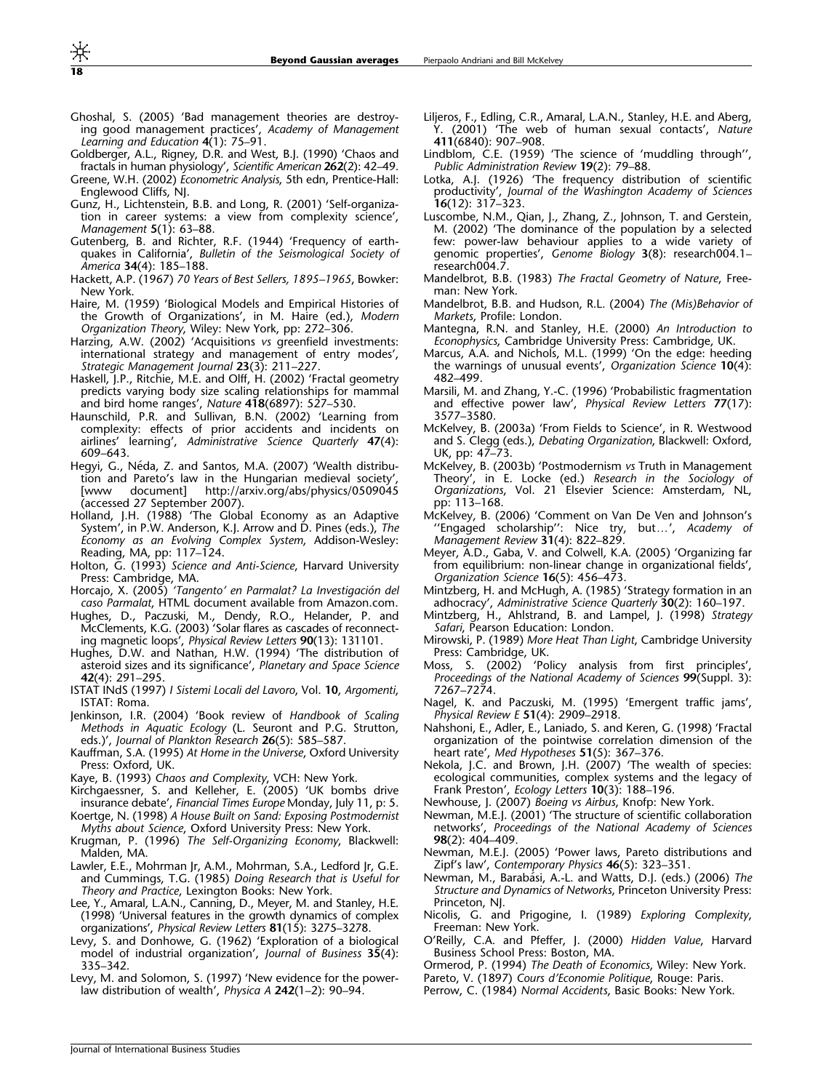- Ghoshal, S. (2005) 'Bad management theories are destroying good management practices', Academy of Management Learning and Education 4(1): 75–91.
- Goldberger, A.L., Rigney, D.R. and West, B.J. (1990) 'Chaos and fractals in human physiology', Scientific American 262(2): 42–49.
- Greene, W.H. (2002) Econometric Analysis, 5th edn, Prentice-Hall: Englewood Cliffs, NJ.
- Gunz, H., Lichtenstein, B.B. and Long, R. (2001) 'Self-organization in career systems: a view from complexity science', Management **5**(1): 63-88.
- Gutenberg, B. and Richter, R.F. (1944) 'Frequency of earthquakes in California', Bulletin of the Seismological Society of America 34(4): 185–188.
- Hackett, A.P. (1967) 70 Years of Best Sellers, 1895–1965, Bowker: New York.
- Haire, M. (1959) 'Biological Models and Empirical Histories of the Growth of Organizations', in M. Haire (ed.), Modern Organization Theory, Wiley: New York, pp: 272–306.
- Harzing, A.W. (2002) 'Acquisitions vs greenfield investments: international strategy and management of entry modes', Strategic Management Journal 23(3): 211-227.
- Haskell, J.P., Ritchie, M.E. and Olff, H. (2002) 'Fractal geometry predicts varying body size scaling relationships for mammal and bird home ranges', Nature 418(6897): 527–530.
- Haunschild, P.R. and Sullivan, B.N. (2002) 'Learning from complexity: effects of prior accidents and incidents on airlines' learning', Administrative Science Quarterly 47(4): 609–643.
- Hegyi, G., Néda, Z. and Santos, M.A. (2007) 'Wealth distribution and Pareto's law in the Hungarian medieval society<br>Iwww documentl http://arxiv.org/abs/physics/050904 [www document] http://arxiv.org/abs/physics/0509045 (accessed 27 September 2007).
- Holland, J.H. (1988) 'The Global Economy as an Adaptive System', in P.W. Anderson, K.J. Arrow and D. Pines (eds.), The Economy as an Evolving Complex System, Addison-Wesley: Reading, MA, pp: 117–124.
- Holton, G. (1993) Science and Anti-Science, Harvard University Press: Cambridge, MA.
- Horcajo, X. (2005) 'Tangento' en Parmalat? La Investigación del caso Parmalat, HTML document available from Amazon.com.
- Hughes, D., Paczuski, M., Dendy, R.O., Helander, P. and McClements, K.G. (2003) 'Solar flares as cascades of reconnecting magnetic loops', Physical Review Letters 90(13): 131101.
- Hughes, D.W. and Nathan, H.W. (1994) 'The distribution of asteroid sizes and its significance', Planetary and Space Science 42(4): 291–295.
- ISTAT INdS (1997) I Sistemi Locali del Lavoro, Vol. 10, Argomenti, ISTAT: Roma.
- Jenkinson, I.R. (2004) 'Book review of Handbook of Scaling Methods in Aquatic Ecology (L. Seuront and P.G. Strutton, eds.)', Journal of Plankton Research 26(5): 585-587
- Kauffman, S.A. (1995) At Home in the Universe, Oxford University Press: Oxford, UK.
- Kaye, B. (1993) Chaos and Complexity, VCH: New York.
- Kirchgaessner, S. and Kelleher, E. (2005) 'UK bombs drive insurance debate', Financial Times Europe Monday, July 11, p: 5.
- Koertge, N. (1998) A House Built on Sand: Exposing Postmodernist Myths about Science, Oxford University Press: New York.
- Krugman, P. (1996) The Self-Organizing Economy, Blackwell: Malden, MA.
- Lawler, E.E., Mohrman Jr, A.M., Mohrman, S.A., Ledford Jr, G.E. and Cummings, T.G. (1985) Doing Research that is Useful for Theory and Practice, Lexington Books: New York.
- Lee, Y., Amaral, L.A.N., Canning, D., Meyer, M. and Stanley, H.E. (1998) 'Universal features in the growth dynamics of complex organizations', Physical Review Letters 81(15): 3275–3278.
- Levy, S. and Donhowe, G. (1962) 'Exploration of a biological model of industrial organization', Journal of Business  $35(4)$ : 335–342.
- Levy, M. and Solomon, S. (1997) 'New evidence for the powerlaw distribution of wealth', Physica A 242(1-2): 90-94.
- Liljeros, F., Edling, C.R., Amaral, L.A.N., Stanley, H.E. and Aberg, Y. (2001) 'The web of human sexual contacts', Nature 411(6840): 907–908.
- Lindblom, C.E. (1959) 'The science of 'muddling through'', Public Administration Review 19(2): 79–88.
- Lotka, A.J. (1926) 'The frequency distribution of scientific productivity', Journal of the Washington Academy of Sciences  $16(12): 317 - 323.$
- Luscombe, N.M., Qian, J., Zhang, Z., Johnson, T. and Gerstein, M. (2002) 'The dominance of the population by a selected few: power-law behaviour applies to a wide variety of genomic properties', Genome Biology 3(8): research004.1research004.7.
- Mandelbrot, B.B. (1983) The Fractal Geometry of Nature, Freeman: New York.
- Mandelbrot, B.B. and Hudson, R.L. (2004) The (Mis)Behavior of Markets, Profile: London.
- Mantegna, R.N. and Stanley, H.E. (2000) An Introduction to Econophysics, Cambridge University Press: Cambridge, UK.
- Marcus, A.A. and Nichols, M.L. (1999) 'On the edge: heeding the warnings of unusual events', Organization Science  $10(4)$ : 482–499.
- Marsili, M. and Zhang, Y.-C. (1996) 'Probabilistic fragmentation and effective power law', Physical Review Letters 77(17): 3577–3580.
- McKelvey, B. (2003a) 'From Fields to Science', in R. Westwood and S. Clegg (eds.), Debating Organization, Blackwell: Oxford, UK, pp: 47–73.
- McKelvey, B. (2003b) 'Postmodernism vs Truth in Management Theory', in E. Locke (ed.) Research in the Sociology of Organizations, Vol. 21 Elsevier Science: Amsterdam, NL, pp: 113–168.
- McKelvey, B. (2006) 'Comment on Van De Ven and Johnson's "Engaged scholarship": Nice try, but...', Academy of Management Review 31(4): 822-829.
- Meyer, A.D., Gaba, V. and Colwell, K.A. (2005) 'Organizing far from equilibrium: non-linear change in organizational fields', Organization Science 16(5): 456–473.
- Mintzberg, H. and McHugh, A. (1985) 'Strategy formation in an adhocracy', Administrative Science Quarterly 30(2): 160–197.
- Mintzberg, H., Ahlstrand, B. and Lampel, J. (1998) Strategy Safari, Pearson Education: London.
- Mirowski, P. (1989) More Heat Than Light, Cambridge University Press: Cambridge, UK.
- Moss, S. (2002) 'Policy analysis from first principles', Proceedings of the National Academy of Sciences 99(Suppl. 3): 7267–7274.
- Nagel, K. and Paczuski, M. (1995) 'Emergent traffic jams', Physical Review E 51(4): 2909–2918.
- Nahshoni, E., Adler, E., Laniado, S. and Keren, G. (1998) 'Fractal organization of the pointwise correlation dimension of the heart rate', Med Hypotheses 51(5): 367-376.
- Nekola, J.C. and Brown, J.H. (2007) 'The wealth of species: ecological communities, complex systems and the legacy of Frank Preston', Ecology Letters 10(3): 188–196.
- Newhouse, J. (2007) Boeing vs Airbus, Knofp: New York.
- Newman, M.E.J. (2001) 'The structure of scientific collaboration networks', Proceedings of the National Academy of Sciences 98(2): 404–409.
- Newman, M.E.J. (2005) 'Power laws, Pareto distributions and Zipf's law', Contemporary Physics 46(5): 323–351.
- Newman, M., Barabási, A.-L. and Watts, D.J. (eds.) (2006) The Structure and Dynamics of Networks, Princeton University Press: Princeton, NJ.
- Nicolis, G. and Prigogine, I. (1989) Exploring Complexity, Freeman: New York.
- O'Reilly, C.A. and Pfeffer, J. (2000) Hidden Value, Harvard Business School Press: Boston, MA.
- Ormerod, P. (1994) The Death of Economics, Wiley: New York.
- Pareto, V. (1897) Cours d'Economie Politique, Rouge: Paris.
- Perrow, C. (1984) Normal Accidents, Basic Books: New York.